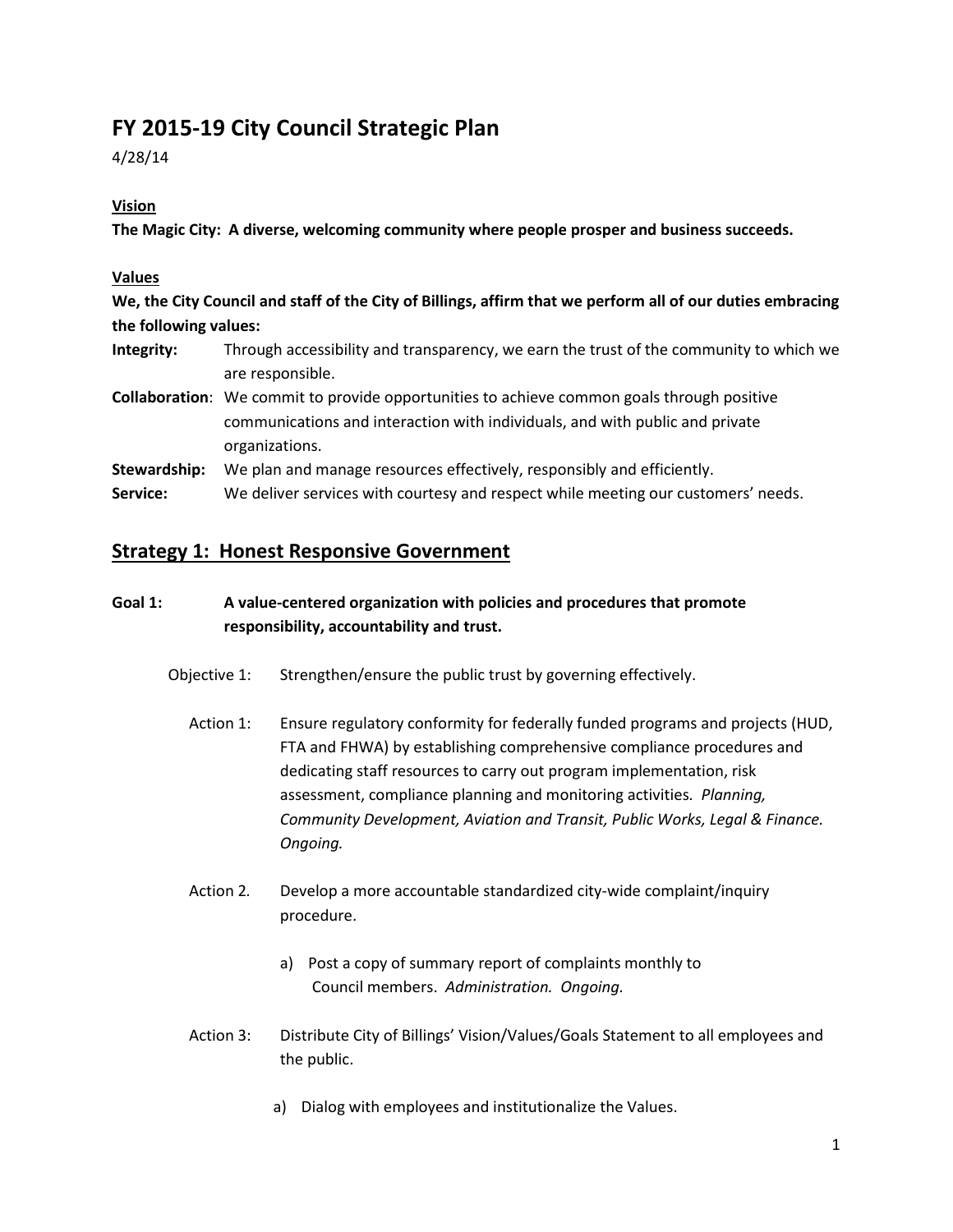## **FY 2015-19 City Council Strategic Plan**

4/28/14

#### **Vision**

**The Magic City: A diverse, welcoming community where people prosper and business succeeds.**

#### **Values**

**We, the City Council and staff of the City of Billings, affirm that we perform all of our duties embracing the following values:**

- **Integrity:** Through accessibility and transparency, we earn the trust of the community to which we are responsible.
- **Collaboration**: We commit to provide opportunities to achieve common goals through positive communications and interaction with individuals, and with public and private organizations.

**Stewardship:** We plan and manage resources effectively, responsibly and efficiently.

**Service:** We deliver services with courtesy and respect while meeting our customers' needs.

#### **Strategy 1: Honest Responsive Government**

#### **Goal 1: A value-centered organization with policies and procedures that promote responsibility, accountability and trust.**

- Objective 1: Strengthen/ensure the public trust by governing effectively.
	- Action 1: Ensure regulatory conformity for federally funded programs and projects (HUD, FTA and FHWA) by establishing comprehensive compliance procedures and dedicating staff resources to carry out program implementation, risk assessment, compliance planning and monitoring activities*. Planning, Community Development, Aviation and Transit, Public Works, Legal & Finance. Ongoing.*
	- Action 2*.* Develop a more accountable standardized city-wide complaint/inquiry procedure.
		- a) Post a copy of summary report of complaints monthly to Council members. *Administration. Ongoing.*
	- Action 3: Distribute City of Billings' Vision/Values/Goals Statement to all employees and the public.
		- a) Dialog with employees and institutionalize the Values.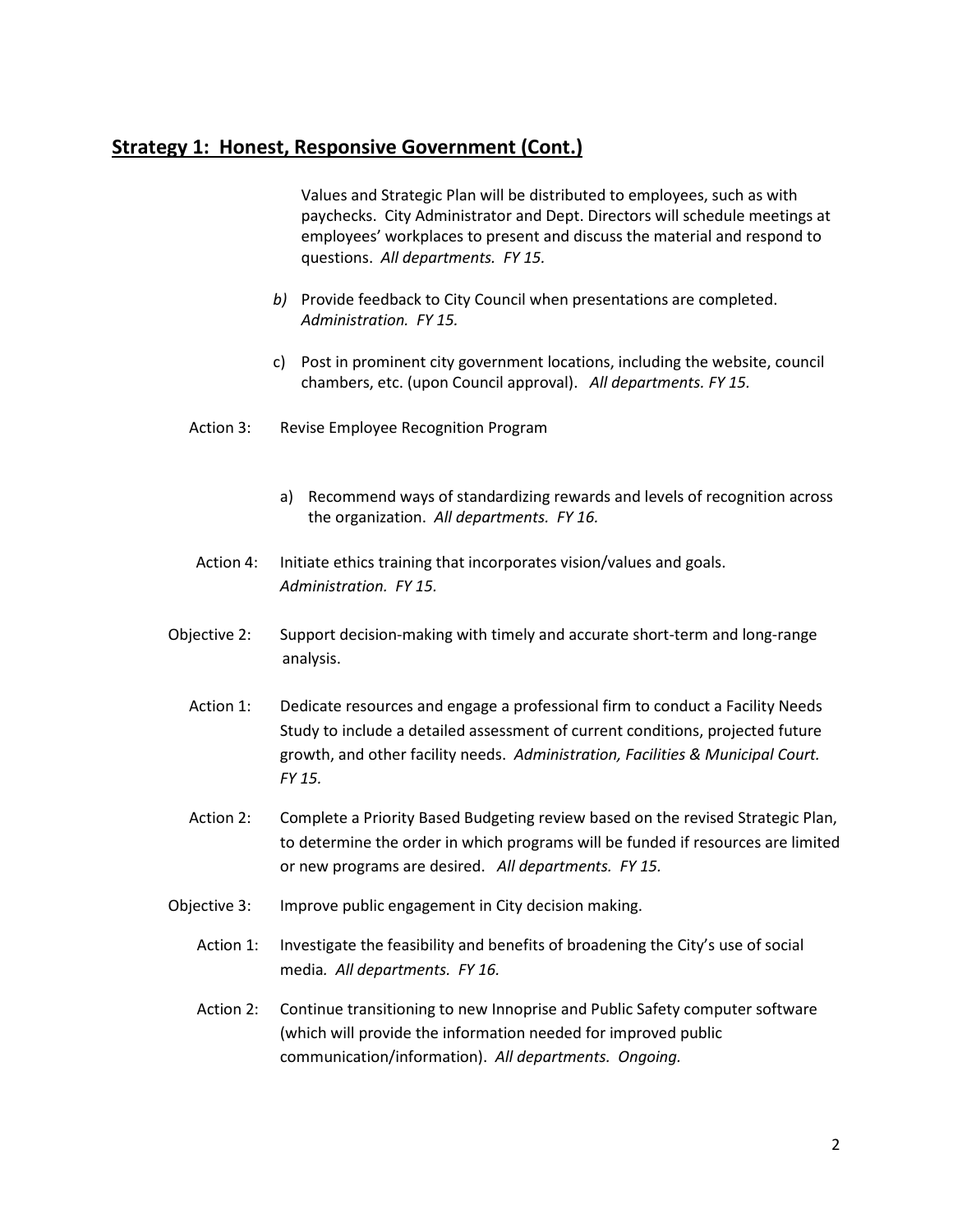### **Strategy 1: Honest, Responsive Government (Cont.)**

Values and Strategic Plan will be distributed to employees, such as with paychecks. City Administrator and Dept. Directors will schedule meetings at employees' workplaces to present and discuss the material and respond to questions. *All departments. FY 15.*

- *b)* Provide feedback to City Council when presentations are completed. *Administration. FY 15.*
- c) Post in prominent city government locations, including the website, council chambers, etc. (upon Council approval). *All departments. FY 15.*
- Action 3: Revise Employee Recognition Program
	- a) Recommend ways of standardizing rewards and levels of recognition across the organization. *All departments. FY 16.*
- Action 4: Initiate ethics training that incorporates vision/values and goals. *Administration. FY 15.*
- Objective 2: Support decision-making with timely and accurate short-term and long-range analysis.
	- Action 1: Dedicate resources and engage a professional firm to conduct a Facility Needs Study to include a detailed assessment of current conditions, projected future growth, and other facility needs. *Administration, Facilities & Municipal Court. FY 15.*
	- Action 2: Complete a Priority Based Budgeting review based on the revised Strategic Plan, to determine the order in which programs will be funded if resources are limited or new programs are desired. *All departments. FY 15.*
- Objective 3: Improve public engagement in City decision making.
	- Action 1: Investigate the feasibility and benefits of broadening the City's use of social media*. All departments. FY 16.*
	- Action 2: Continue transitioning to new Innoprise and Public Safety computer software (which will provide the information needed for improved public communication/information). *All departments. Ongoing.*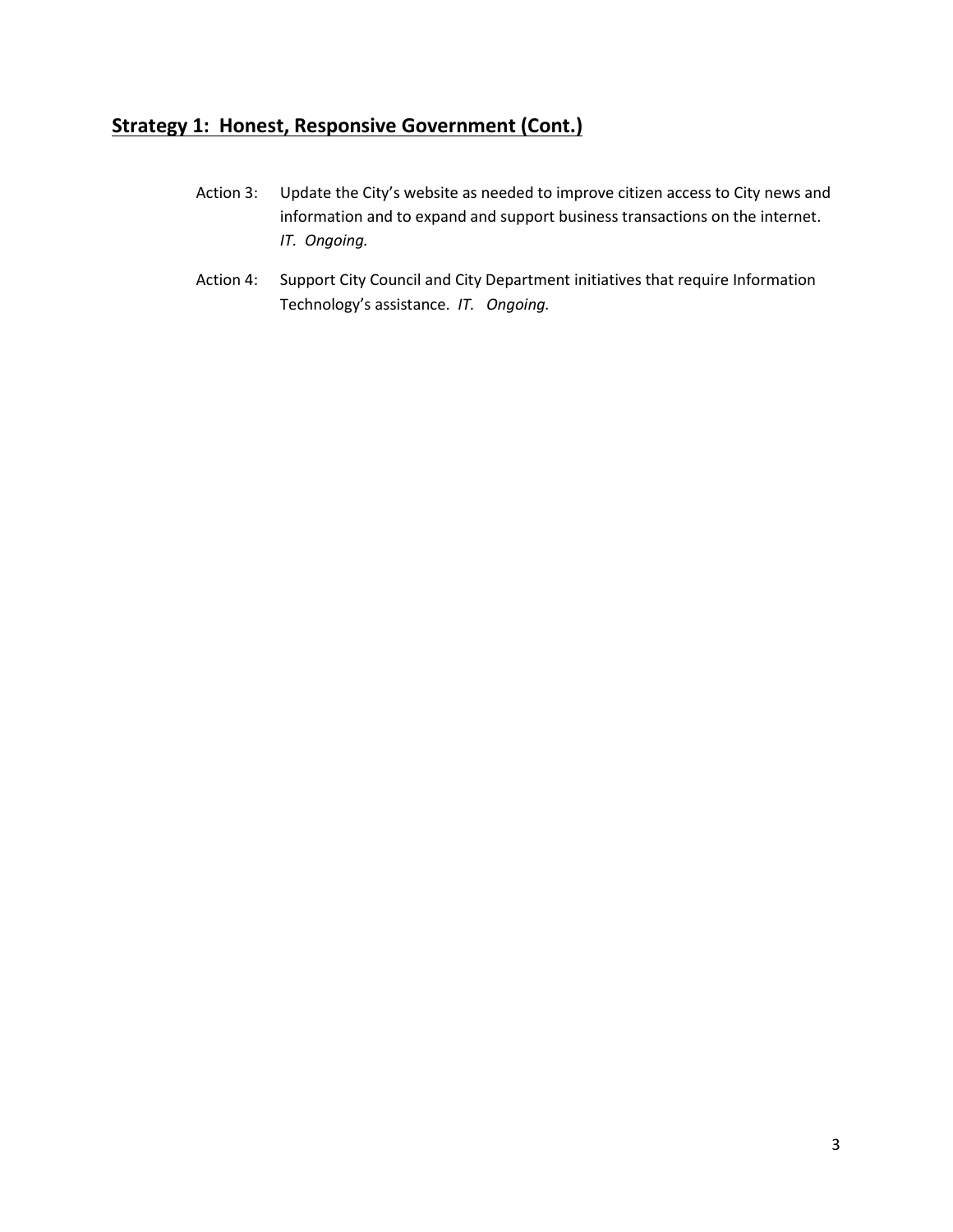### **Strategy 1: Honest, Responsive Government (Cont.)**

- Action 3: Update the City's website as needed to improve citizen access to City news and information and to expand and support business transactions on the internet. *IT. Ongoing.*
- Action 4: Support City Council and City Department initiatives that require Information Technology's assistance. *IT. Ongoing.*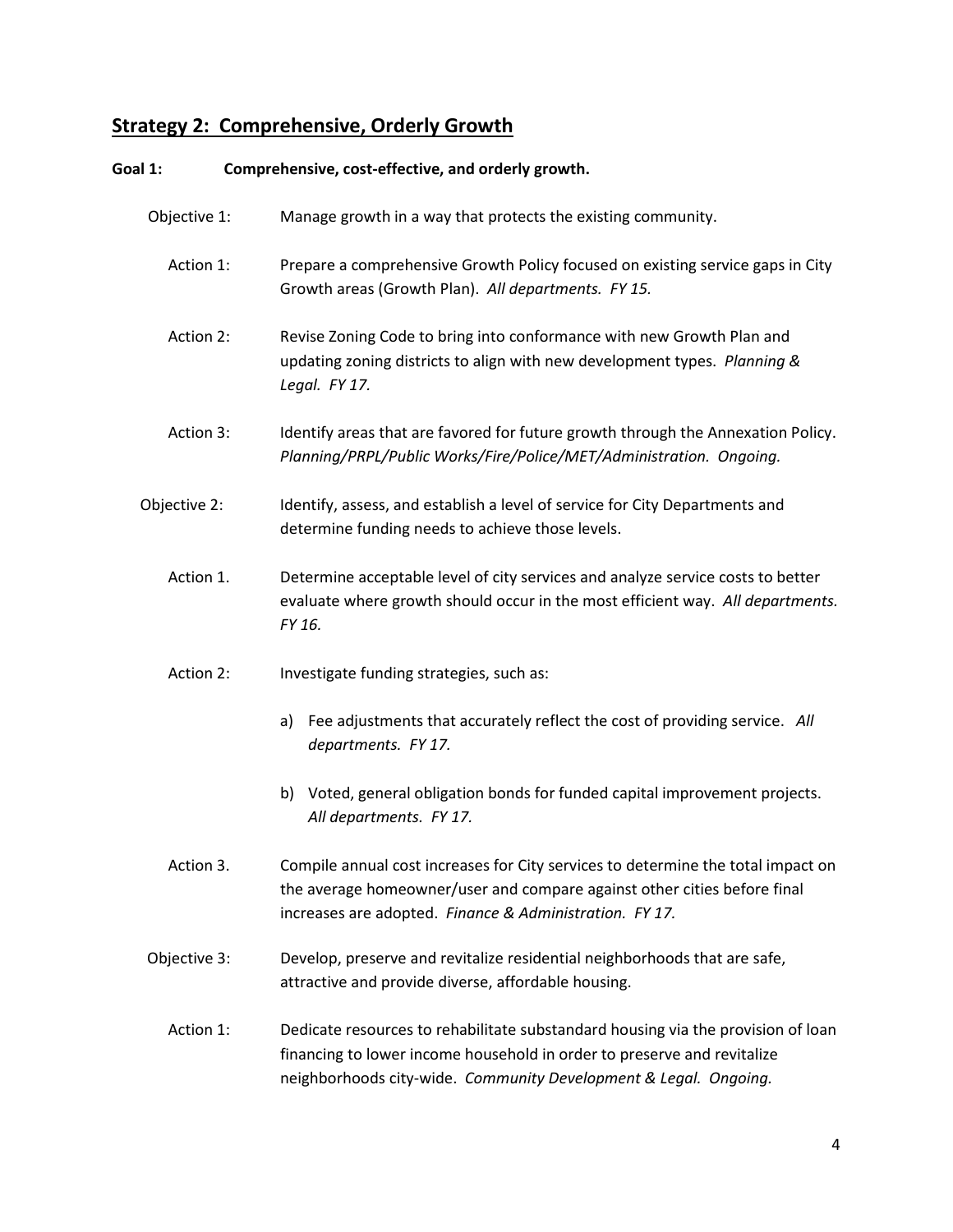# **Strategy 2: Comprehensive, Orderly Growth**

| Goal 1:      | Comprehensive, cost-effective, and orderly growth.                                                                                                                                                                              |
|--------------|---------------------------------------------------------------------------------------------------------------------------------------------------------------------------------------------------------------------------------|
| Objective 1: | Manage growth in a way that protects the existing community.                                                                                                                                                                    |
| Action 1:    | Prepare a comprehensive Growth Policy focused on existing service gaps in City<br>Growth areas (Growth Plan). All departments. FY 15.                                                                                           |
| Action 2:    | Revise Zoning Code to bring into conformance with new Growth Plan and<br>updating zoning districts to align with new development types. Planning &<br>Legal. FY 17.                                                             |
| Action 3:    | Identify areas that are favored for future growth through the Annexation Policy.<br>Planning/PRPL/Public Works/Fire/Police/MET/Administration. Ongoing.                                                                         |
| Objective 2: | Identify, assess, and establish a level of service for City Departments and<br>determine funding needs to achieve those levels.                                                                                                 |
| Action 1.    | Determine acceptable level of city services and analyze service costs to better<br>evaluate where growth should occur in the most efficient way. All departments.<br>FY 16.                                                     |
| Action 2:    | Investigate funding strategies, such as:                                                                                                                                                                                        |
|              | Fee adjustments that accurately reflect the cost of providing service. All<br>a)<br>departments. FY 17.                                                                                                                         |
|              | Voted, general obligation bonds for funded capital improvement projects.<br>b)<br>All departments. FY 17.                                                                                                                       |
| Action 3.    | Compile annual cost increases for City services to determine the total impact on<br>the average homeowner/user and compare against other cities before final<br>increases are adopted. Finance & Administration. FY 17.         |
| Objective 3: | Develop, preserve and revitalize residential neighborhoods that are safe,<br>attractive and provide diverse, affordable housing.                                                                                                |
| Action 1:    | Dedicate resources to rehabilitate substandard housing via the provision of loan<br>financing to lower income household in order to preserve and revitalize<br>neighborhoods city-wide. Community Development & Legal. Ongoing. |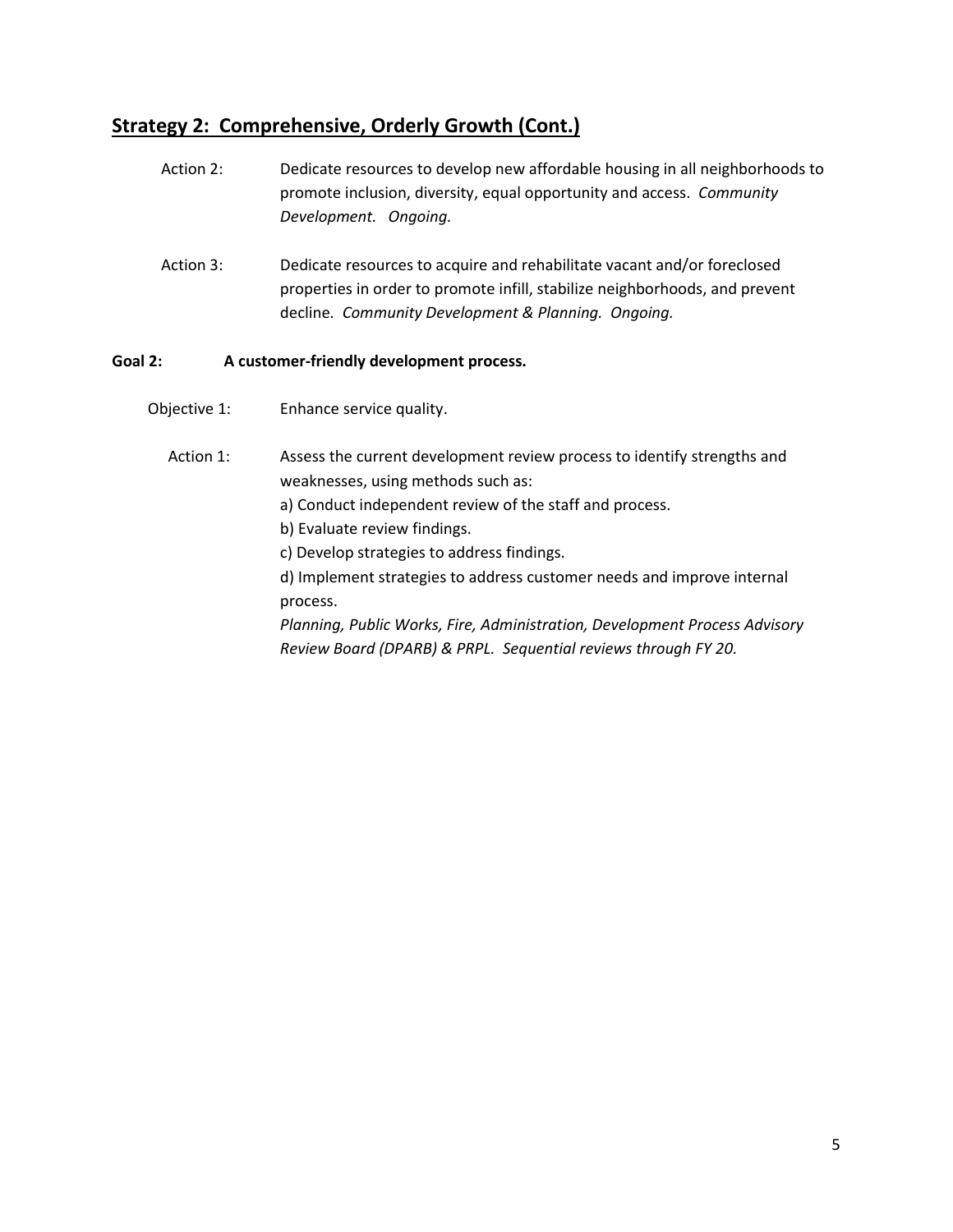### **Strategy 2: Comprehensive, Orderly Growth (Cont.)**

- Action 2: Dedicate resources to develop new affordable housing in all neighborhoods to promote inclusion, diversity, equal opportunity and access. *Community Development. Ongoing.*
- Action 3: Dedicate resources to acquire and rehabilitate vacant and/or foreclosed properties in order to promote infill, stabilize neighborhoods, and prevent decline*. Community Development & Planning. Ongoing.*

#### **Goal 2: A customer-friendly development process.**

- **Objective 1:** Enhance service quality.
	- Action 1: Assess the current development review process to identify strengths and weaknesses, using methods such as:
		- a) Conduct independent review of the staff and process.
		- b) Evaluate review findings.
		- c) Develop strategies to address findings.
		- d) Implement strategies to address customer needs and improve internal process.

*Planning, Public Works, Fire, Administration, Development Process Advisory Review Board (DPARB) & PRPL. Sequential reviews through FY 20.*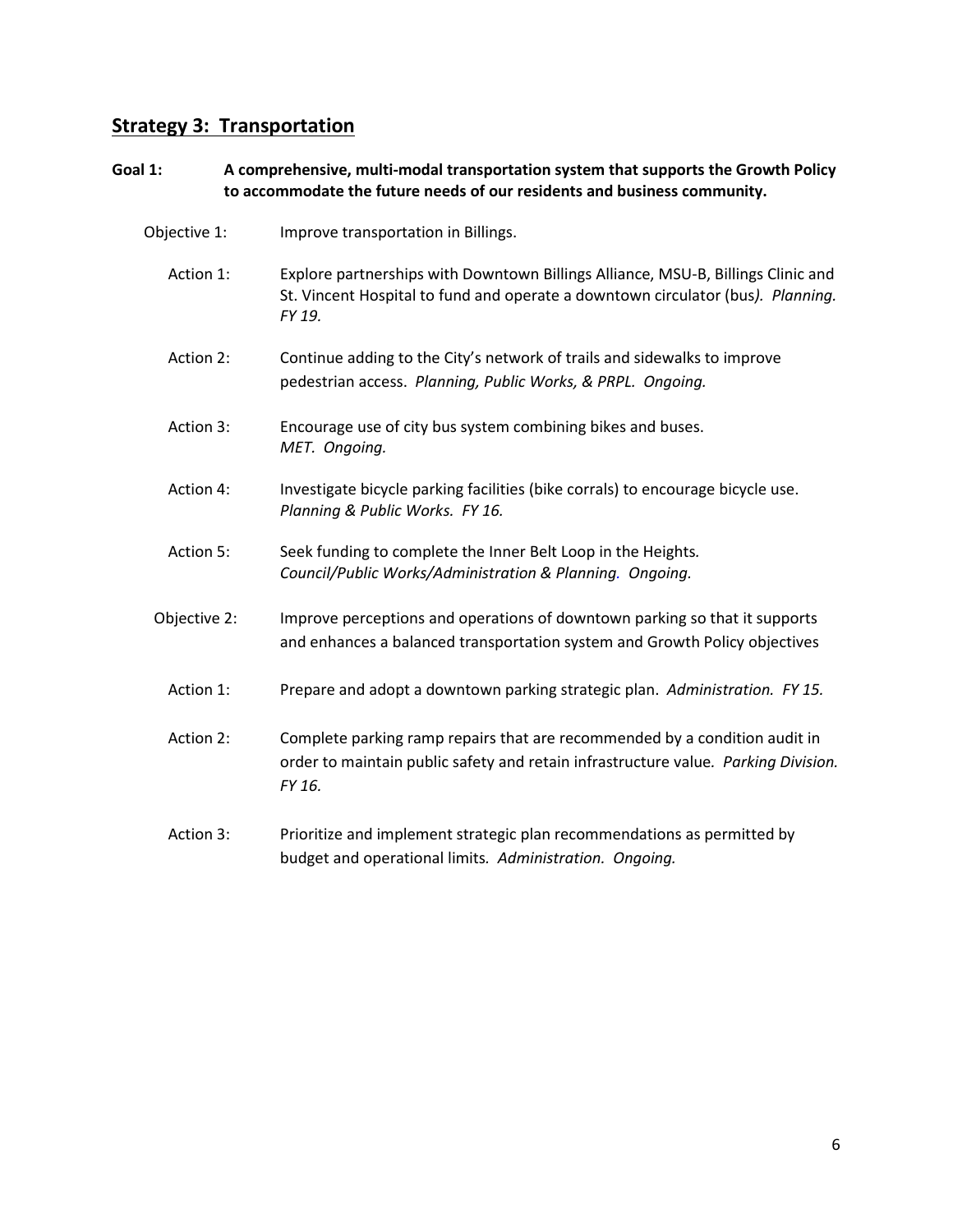### **Strategy 3: Transportation**

#### **Goal 1: A comprehensive, multi-modal transportation system that supports the Growth Policy to accommodate the future needs of our residents and business community.**

| Objective 1: | Improve transportation in Billings. |
|--------------|-------------------------------------|
|--------------|-------------------------------------|

- Action 1: Explore partnerships with Downtown Billings Alliance, MSU-B, Billings Clinic and St. Vincent Hospital to fund and operate a downtown circulator (bus*). Planning. FY 19.*
- Action 2: Continue adding to the City's network of trails and sidewalks to improve pedestrian access. *Planning, Public Works, & PRPL. Ongoing.*
- Action 3: Encourage use of city bus system combining bikes and buses. *MET. Ongoing.*
- Action 4: Investigate bicycle parking facilities (bike corrals) to encourage bicycle use. *Planning & Public Works. FY 16.*
- Action 5: Seek funding to complete the Inner Belt Loop in the Heights*. Council/Public Works/Administration & Planning. Ongoing.*
- Objective 2: Improve perceptions and operations of downtown parking so that it supports and enhances a balanced transportation system and Growth Policy objectives
	- Action 1: Prepare and adopt a downtown parking strategic plan. *Administration. FY 15.*
	- Action 2: Complete parking ramp repairs that are recommended by a condition audit in order to maintain public safety and retain infrastructure value*. Parking Division. FY 16.*
	- Action 3: Prioritize and implement strategic plan recommendations as permitted by budget and operational limits*. Administration. Ongoing.*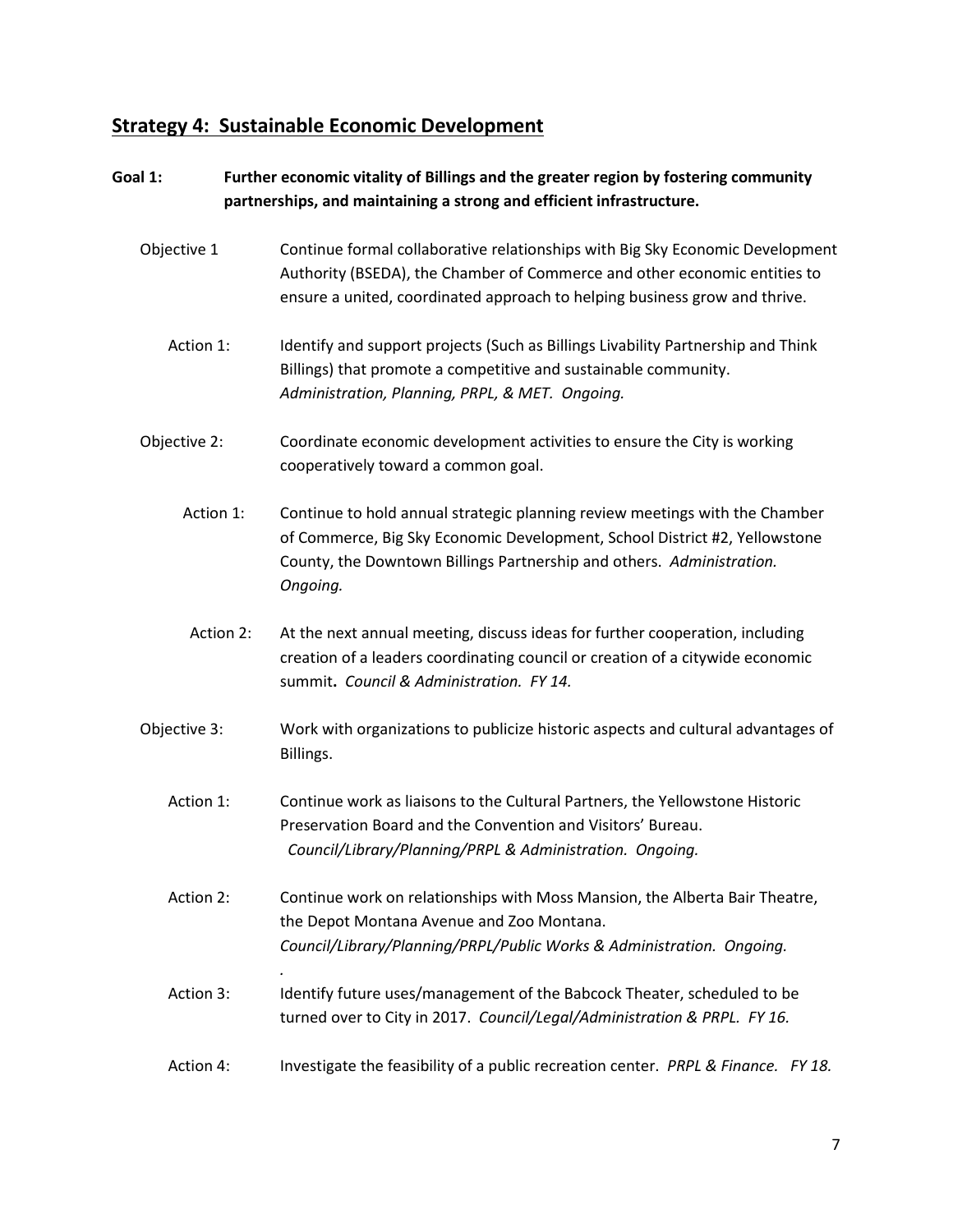### **Strategy 4: Sustainable Economic Development**

### **Goal 1: Further economic vitality of Billings and the greater region by fostering community partnerships, and maintaining a strong and efficient infrastructure.**

- Objective 1 Continue formal collaborative relationships with Big Sky Economic Development Authority (BSEDA), the Chamber of Commerce and other economic entities to ensure a united, coordinated approach to helping business grow and thrive.
	- Action 1: Identify and support projects (Such as Billings Livability Partnership and Think Billings) that promote a competitive and sustainable community. *Administration, Planning, PRPL, & MET. Ongoing.*
- Objective 2: Coordinate economic development activities to ensure the City is working cooperatively toward a common goal.
	- Action 1: Continue to hold annual strategic planning review meetings with the Chamber of Commerce, Big Sky Economic Development, School District #2, Yellowstone County, the Downtown Billings Partnership and others. *Administration. Ongoing.*
	- Action 2: At the next annual meeting, discuss ideas for further cooperation, including creation of a leaders coordinating council or creation of a citywide economic summit**.** *Council & Administration. FY 14.*
- Objective 3: Work with organizations to publicize historic aspects and cultural advantages of Billings.
	- Action 1: Continue work as liaisons to the Cultural Partners, the Yellowstone Historic Preservation Board and the Convention and Visitors' Bureau.  *Council/Library/Planning/PRPL & Administration. Ongoing.*
	- Action 2: Continue work on relationships with Moss Mansion, the Alberta Bair Theatre, the Depot Montana Avenue and Zoo Montana. *Council/Library/Planning/PRPL/Public Works & Administration. Ongoing.*
	- Action 3: Identify future uses/management of the Babcock Theater, scheduled to be turned over to City in 2017. *Council/Legal/Administration & PRPL. FY 16.*

*.*

Action 4: Investigate the feasibility of a public recreation center. *PRPL & Finance. FY 18.*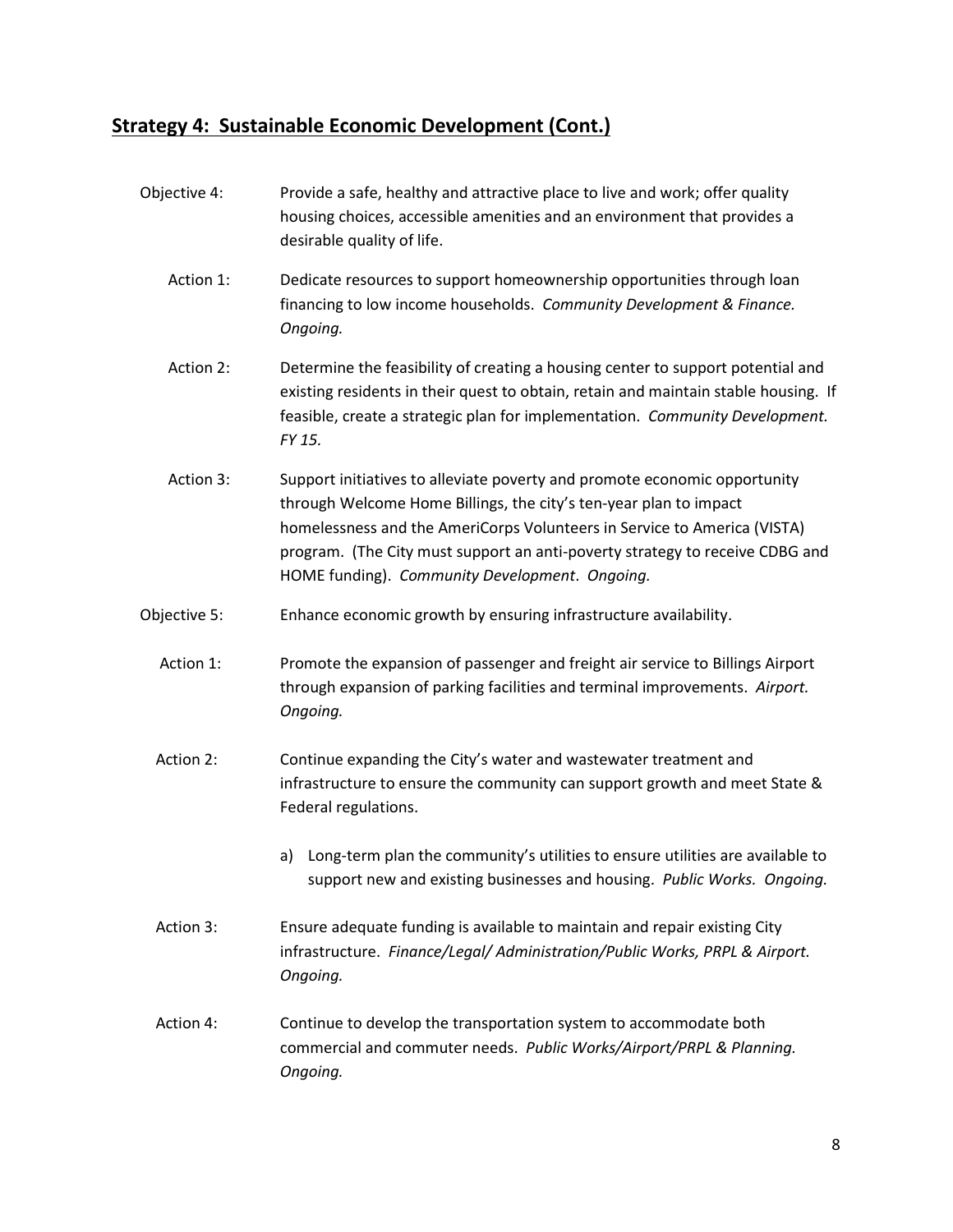### **Strategy 4: Sustainable Economic Development (Cont.)**

Objective 4: Provide a safe, healthy and attractive place to live and work; offer quality housing choices, accessible amenities and an environment that provides a desirable quality of life. Action 1: Dedicate resources to support homeownership opportunities through loan financing to low income households. *Community Development & Finance. Ongoing.* Action 2: Determine the feasibility of creating a housing center to support potential and existing residents in their quest to obtain, retain and maintain stable housing. If feasible, create a strategic plan for implementation. *Community Development. FY 15.* Action 3: Support initiatives to alleviate poverty and promote economic opportunity through Welcome Home Billings, the city's ten-year plan to impact homelessness and the AmeriCorps Volunteers in Service to America (VISTA) program. (The City must support an anti-poverty strategy to receive CDBG and HOME funding). *Community Development*. *Ongoing.* Objective 5: Enhance economic growth by ensuring infrastructure availability. Action 1: Promote the expansion of passenger and freight air service to Billings Airport through expansion of parking facilities and terminal improvements. *Airport. Ongoing.* Action 2: Continue expanding the City's water and wastewater treatment and infrastructure to ensure the community can support growth and meet State & Federal regulations. a) Long-term plan the community's utilities to ensure utilities are available to support new and existing businesses and housing. *Public Works. Ongoing.* Action 3: Ensure adequate funding is available to maintain and repair existing City infrastructure. *Finance/Legal/ Administration/Public Works, PRPL & Airport. Ongoing.* Action 4: Continue to develop the transportation system to accommodate both commercial and commuter needs. *Public Works/Airport/PRPL & Planning. Ongoing.*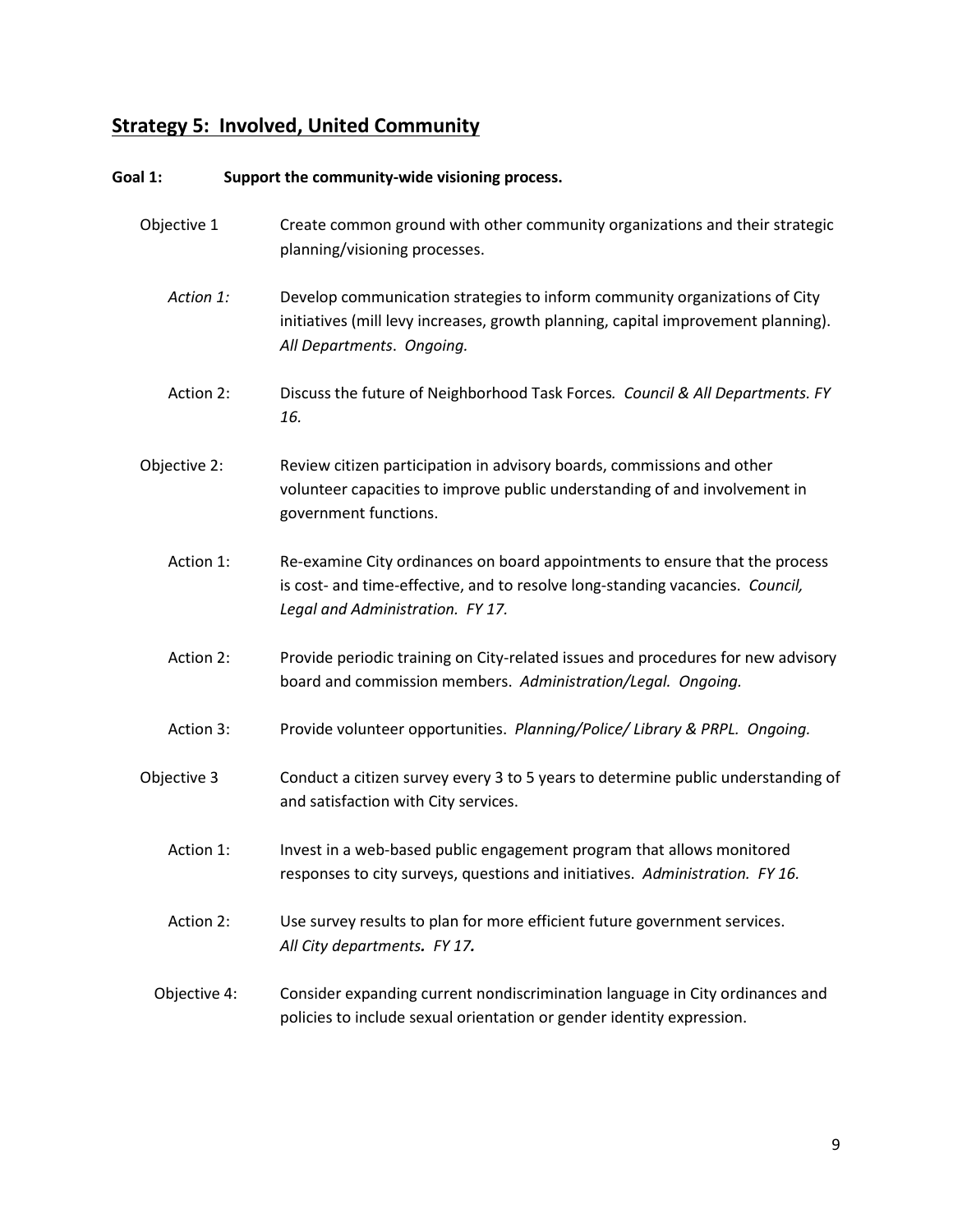# **Strategy 5: Involved, United Community**

| Goal 1:      | Support the community-wide visioning process.                                                                                                                                                    |
|--------------|--------------------------------------------------------------------------------------------------------------------------------------------------------------------------------------------------|
| Objective 1  | Create common ground with other community organizations and their strategic<br>planning/visioning processes.                                                                                     |
| Action 1:    | Develop communication strategies to inform community organizations of City<br>initiatives (mill levy increases, growth planning, capital improvement planning).<br>All Departments. Ongoing.     |
| Action 2:    | Discuss the future of Neighborhood Task Forces. Council & All Departments. FY<br>16.                                                                                                             |
| Objective 2: | Review citizen participation in advisory boards, commissions and other<br>volunteer capacities to improve public understanding of and involvement in<br>government functions.                    |
| Action 1:    | Re-examine City ordinances on board appointments to ensure that the process<br>is cost- and time-effective, and to resolve long-standing vacancies. Council,<br>Legal and Administration. FY 17. |
| Action 2:    | Provide periodic training on City-related issues and procedures for new advisory<br>board and commission members. Administration/Legal. Ongoing.                                                 |
| Action 3:    | Provide volunteer opportunities. Planning/Police/ Library & PRPL. Ongoing.                                                                                                                       |
| Objective 3  | Conduct a citizen survey every 3 to 5 years to determine public understanding of<br>and satisfaction with City services.                                                                         |
| Action 1:    | Invest in a web-based public engagement program that allows monitored<br>responses to city surveys, questions and initiatives. Administration. FY 16.                                            |
| Action 2:    | Use survey results to plan for more efficient future government services.<br>All City departments. FY 17.                                                                                        |
| Objective 4: | Consider expanding current nondiscrimination language in City ordinances and<br>policies to include sexual orientation or gender identity expression.                                            |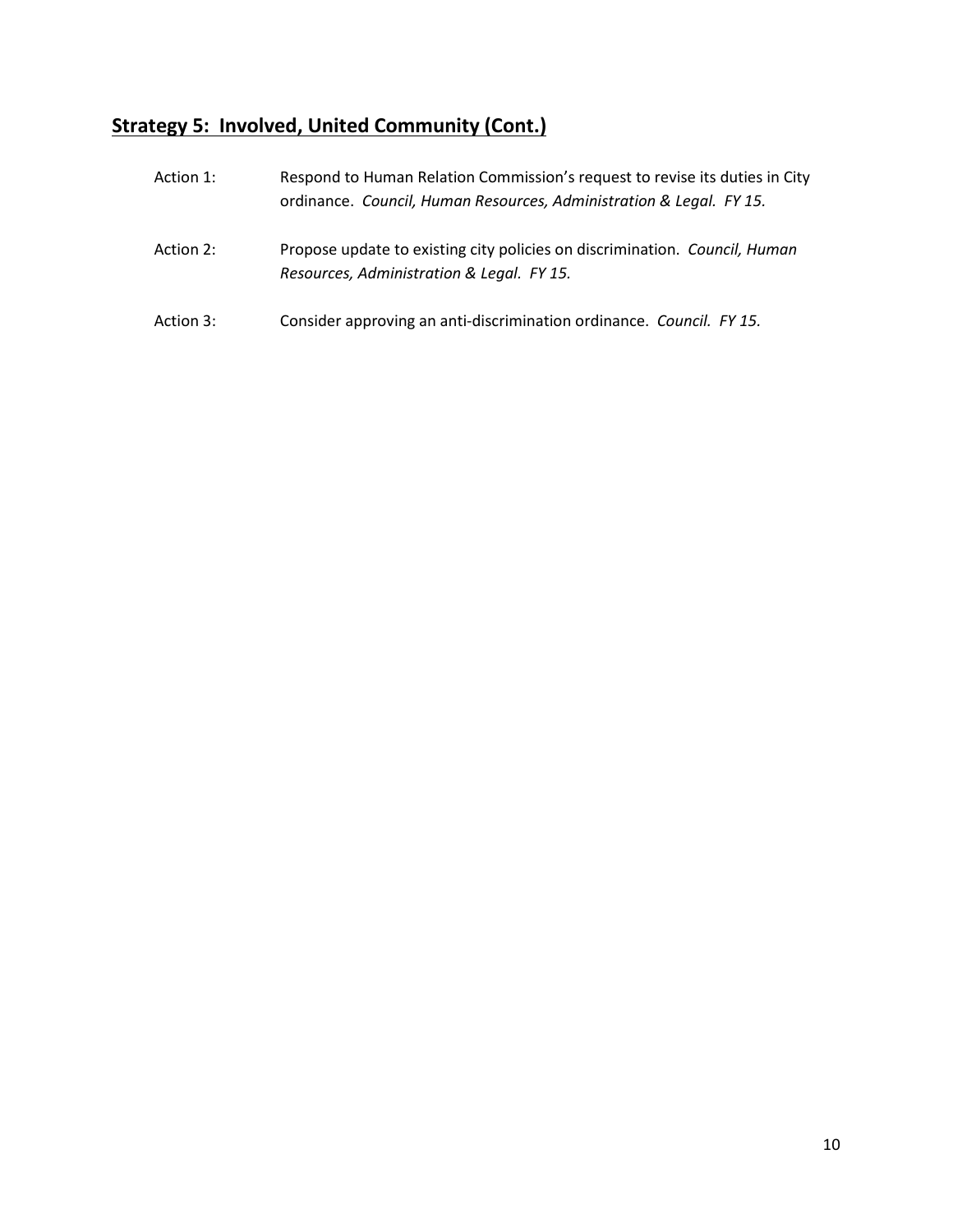# **Strategy 5: Involved, United Community (Cont.)**

| Action 1: | Respond to Human Relation Commission's request to revise its duties in City<br>ordinance. Council, Human Resources, Administration & Legal. FY 15. |
|-----------|----------------------------------------------------------------------------------------------------------------------------------------------------|
| Action 2: | Propose update to existing city policies on discrimination. Council, Human<br>Resources, Administration & Legal. FY 15.                            |
| Action 3: | Consider approving an anti-discrimination ordinance. Council. FY 15.                                                                               |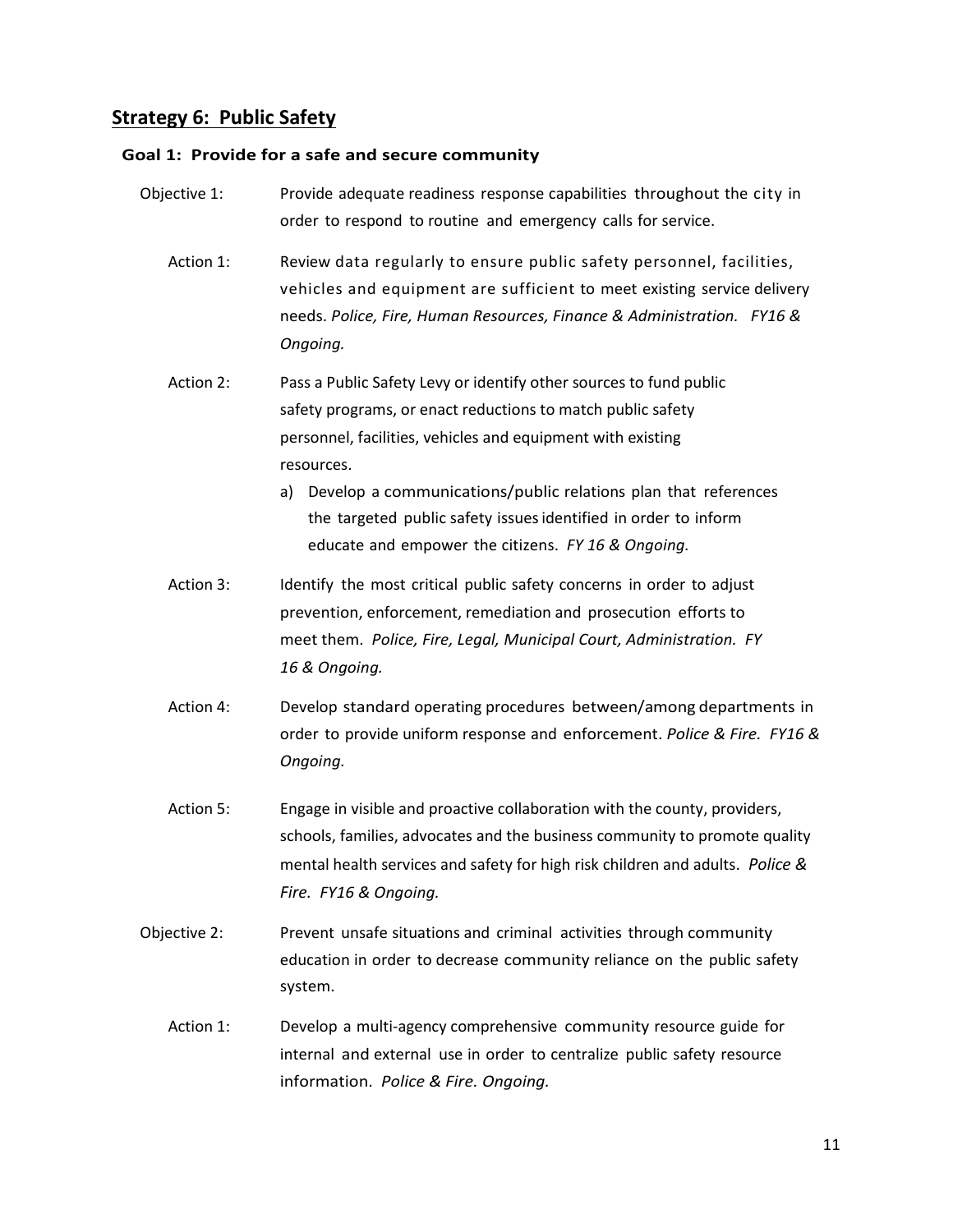## **Strategy 6: Public Safety**

### **Goal 1: Provide for a safe and secure community**

| Objective 1: | Provide adequate readiness response capabilities throughout the city in<br>order to respond to routine and emergency calls for service.                                                                                                                                                                                                                                                                         |
|--------------|-----------------------------------------------------------------------------------------------------------------------------------------------------------------------------------------------------------------------------------------------------------------------------------------------------------------------------------------------------------------------------------------------------------------|
| Action 1:    | Review data regularly to ensure public safety personnel, facilities,<br>vehicles and equipment are sufficient to meet existing service delivery<br>needs. Police, Fire, Human Resources, Finance & Administration. FY16 &<br>Ongoing.                                                                                                                                                                           |
| Action 2:    | Pass a Public Safety Levy or identify other sources to fund public<br>safety programs, or enact reductions to match public safety<br>personnel, facilities, vehicles and equipment with existing<br>resources.<br>Develop a communications/public relations plan that references<br>a)<br>the targeted public safety issues identified in order to inform<br>educate and empower the citizens. FY 16 & Ongoing. |
| Action 3:    | Identify the most critical public safety concerns in order to adjust<br>prevention, enforcement, remediation and prosecution efforts to<br>meet them. Police, Fire, Legal, Municipal Court, Administration. FY<br>16 & Ongoing.                                                                                                                                                                                 |
| Action 4:    | Develop standard operating procedures between/among departments in<br>order to provide uniform response and enforcement. Police & Fire. FY16 &<br>Ongoing.                                                                                                                                                                                                                                                      |
| Action 5:    | Engage in visible and proactive collaboration with the county, providers,<br>schools, families, advocates and the business community to promote quality<br>mental health services and safety for high risk children and adults. Police &<br>Fire. FY16 & Ongoing.                                                                                                                                               |
| Objective 2: | Prevent unsafe situations and criminal activities through community<br>education in order to decrease community reliance on the public safety<br>system.                                                                                                                                                                                                                                                        |
| Action 1:    | Develop a multi-agency comprehensive community resource guide for<br>internal and external use in order to centralize public safety resource<br>information. Police & Fire. Ongoing.                                                                                                                                                                                                                            |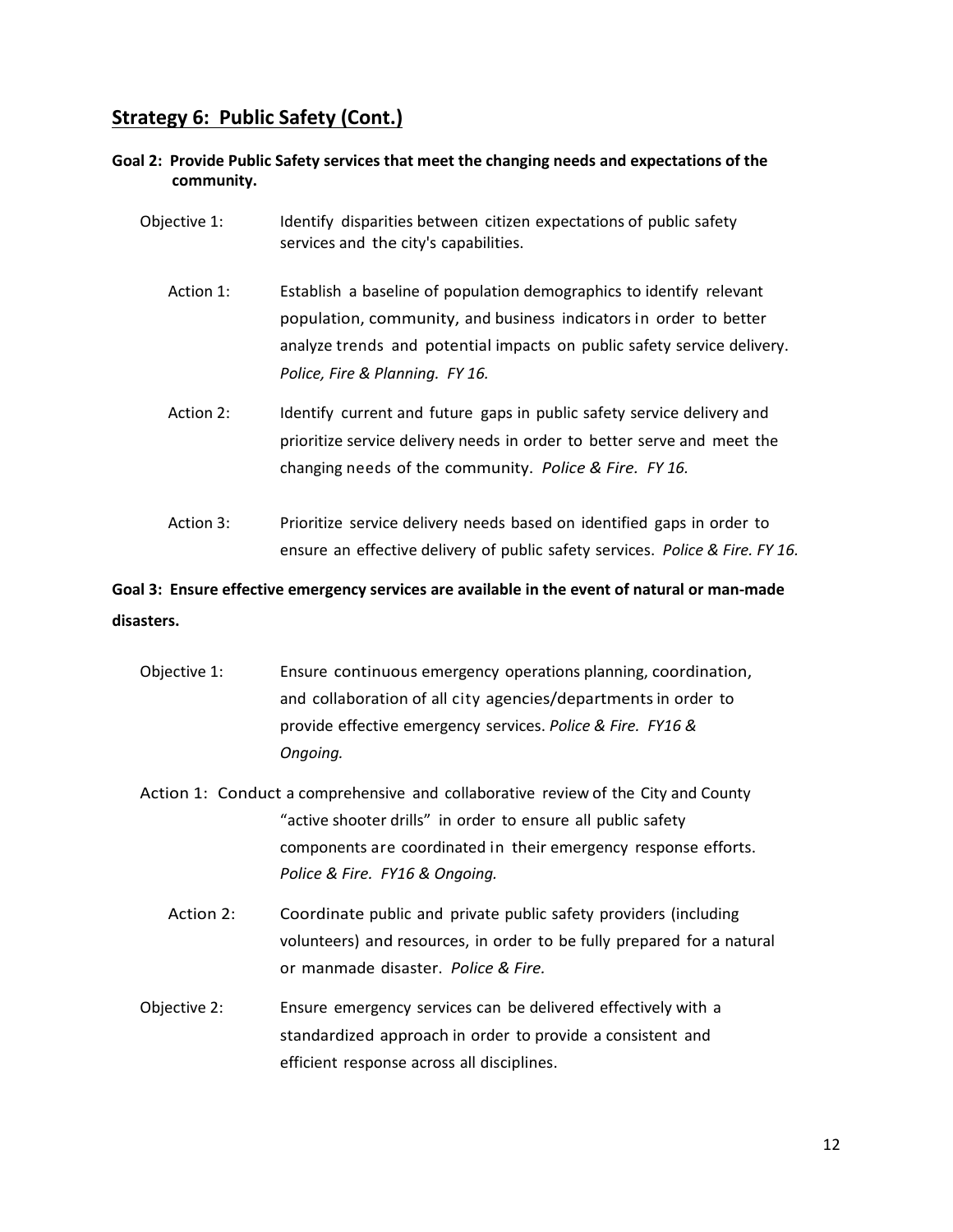### **Strategy 6: Public Safety (Cont.)**

- **Goal 2: Provide Public Safety services that meet the changing needs and expectations of the community.**
	- Objective 1: Identify disparities between citizen expectations of public safety services and the city's capabilities.
		- Action 1: Establish a baseline of population demographics to identify relevant population, community, and business indicators in order to better analyze trends and potential impacts on public safety service delivery. *Police, Fire & Planning. FY 16.*
		- Action 2: Identify current and future gaps in public safety service delivery and prioritize service delivery needs in order to better serve and meet the changing needs of the community. *Police & Fire. FY 16.*
		- Action 3: Prioritize service delivery needs based on identified gaps in order to ensure an effective delivery of public safety services. *Police & Fire. FY 16.*

### **Goal 3: Ensure effective emergency services are available in the event of natural or man-made disasters.**

- Objective 1: Ensure continuous emergency operations planning, coordination, and collaboration of all city agencies/departments in order to provide effective emergency services. *Police & Fire. FY16 & Ongoing.*
- Action 1: Conduct a comprehensive and collaborative review of the City and County "active shooter drills" in order to ensure all public safety components are coordinated in their emergency response efforts. *Police & Fire. FY16 & Ongoing.*
	- Action 2: Coordinate public and private public safety providers (including volunteers) and resources, in order to be fully prepared for a natural or manmade disaster. *Police & Fire.*
- Objective 2: Ensure emergency services can be delivered effectively with a standardized approach in order to provide a consistent and efficient response across all disciplines.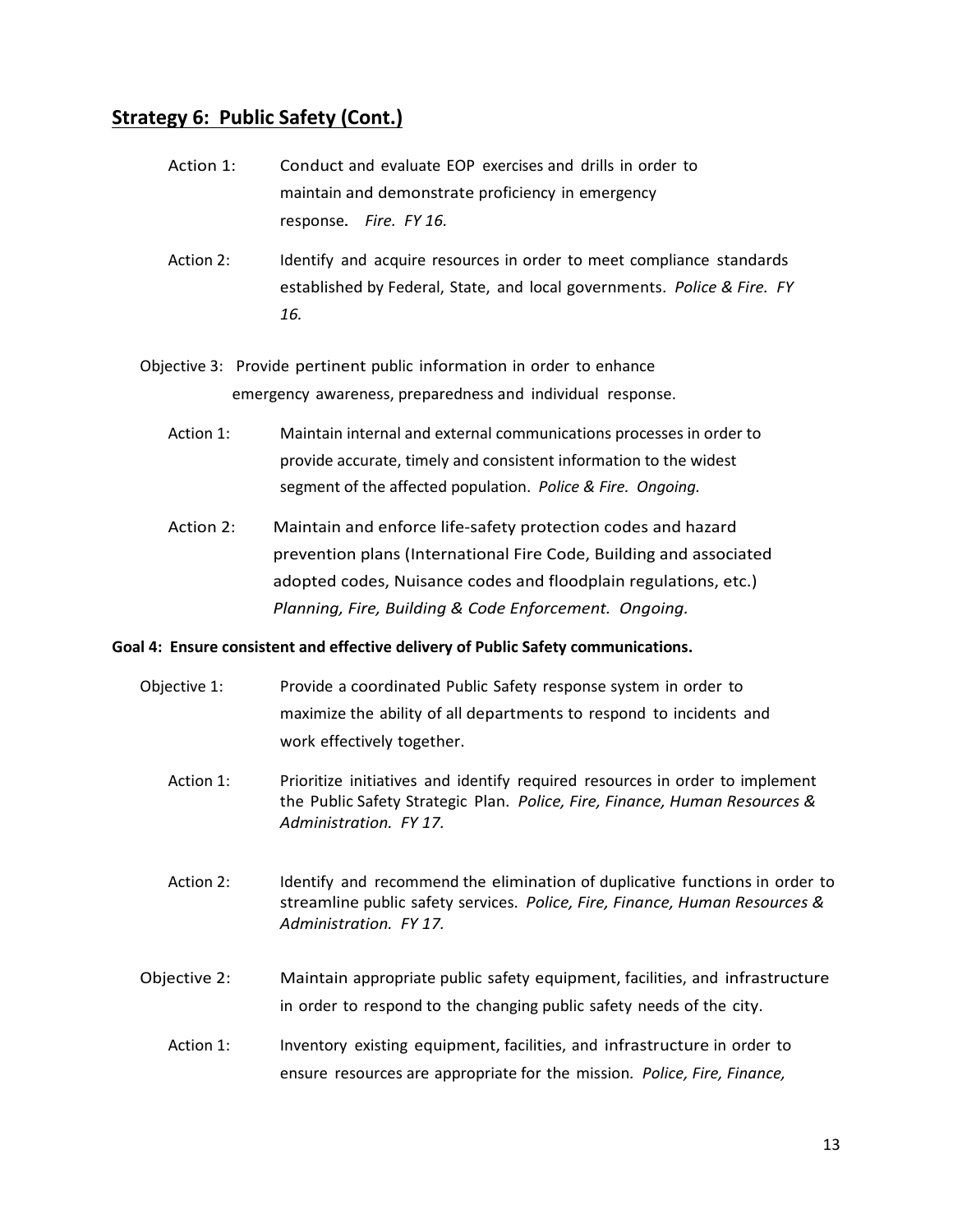### **Strategy 6: Public Safety (Cont.)**

- Action 1: Conduct and evaluate EOP exercises and drills in order to maintain and demonstrate proficiency in emergency response. *Fire. FY 16.*
- Action 2: Identify and acquire resources in order to meet compliance standards established by Federal, State, and local governments. *Police & Fire. FY 16.*
- Objective 3: Provide pertinent public information in order to enhance emergency awareness, preparedness and individual response.
	- Action 1: Maintain internal and external communications processes in order to provide accurate, timely and consistent information to the widest segment of the affected population. *Police & Fire. Ongoing.*
	- Action 2: Maintain and enforce life-safety protection codes and hazard prevention plans (International Fire Code, Building and associated adopted codes, Nuisance codes and floodplain regulations, etc.) *Planning, Fire, Building & Code Enforcement. Ongoing.*

#### **Goal 4: Ensure consistent and effective delivery of Public Safety communications.**

- Objective 1: Provide a coordinated Public Safety response system in order to maximize the ability of all departments to respond to incidents and work effectively together.
	- Action 1: Prioritize initiatives and identify required resources in order to implement the Public Safety Strategic Plan. *Police, Fire, Finance, Human Resources & Administration. FY 17.*
	- Action 2: Identify and recommend the elimination of duplicative functions in order to streamline public safety services. *Police, Fire, Finance, Human Resources & Administration. FY 17.*
- Objective 2: Maintain appropriate public safety equipment, facilities, and infrastructure in order to respond to the changing public safety needs of the city.
	- Action 1: Inventory existing equipment, facilities, and infrastructure in order to ensure resources are appropriate for the mission*. Police, Fire, Finance,*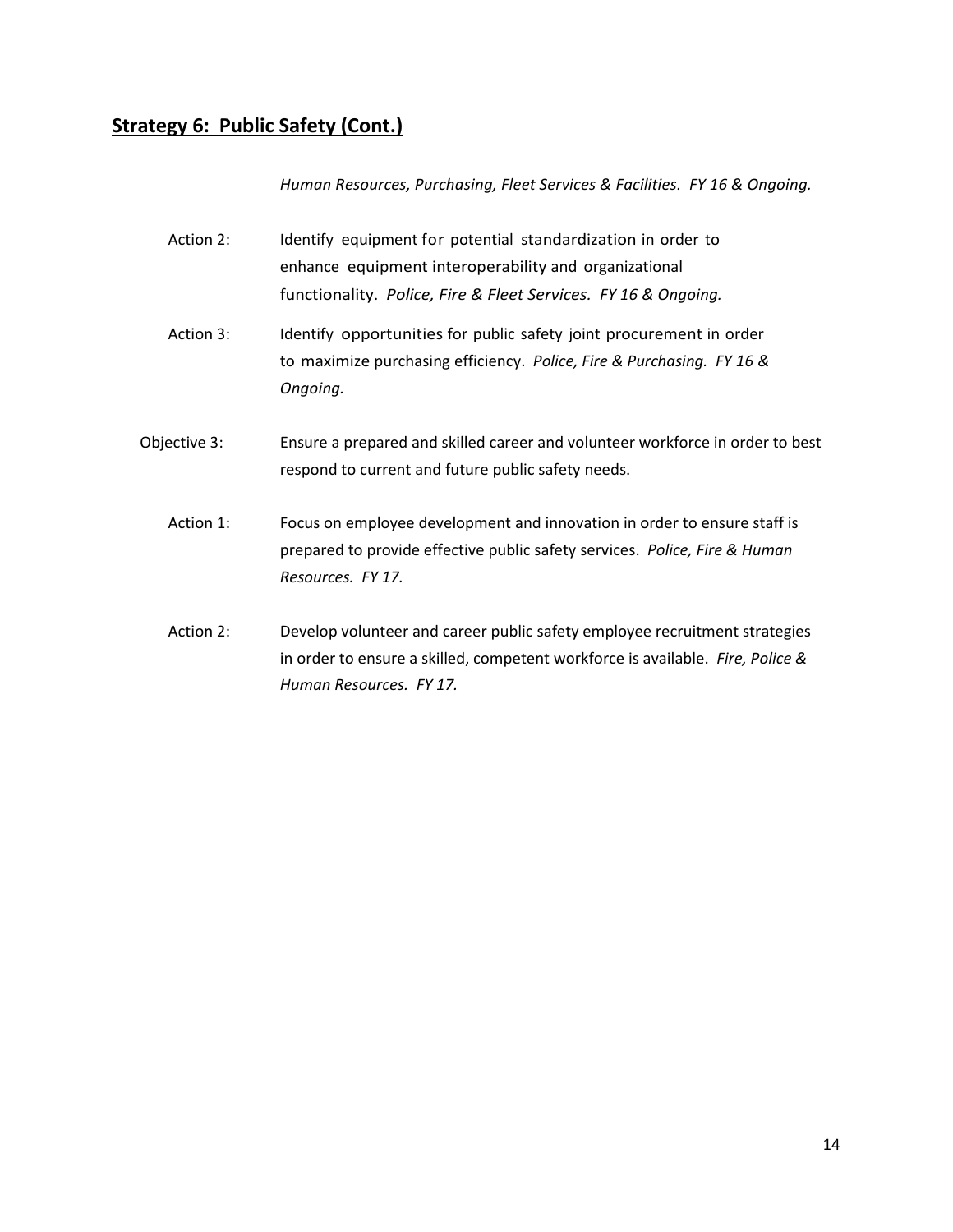### **Strategy 6: Public Safety (Cont.)**

*Human Resources, Purchasing, Fleet Services & Facilities. FY 16 & Ongoing.*

- Action 2: Identify equipment for potential standardization in order to enhance equipment interoperability and organizational functionality. *Police, Fire & Fleet Services. FY 16 & Ongoing.*
- Action 3: Identify opportunities for public safety joint procurement in order to maximize purchasing efficiency. *Police, Fire & Purchasing. FY 16 & Ongoing.*
- Objective 3: Ensure a prepared and skilled career and volunteer workforce in order to best respond to current and future public safety needs.
	- Action 1: Focus on employee development and innovation in order to ensure staff is prepared to provide effective public safety services. *Police, Fire & Human Resources. FY 17.*
	- Action 2: Develop volunteer and career public safety employee recruitment strategies in order to ensure a skilled, competent workforce is available. *Fire, Police & Human Resources. FY 17.*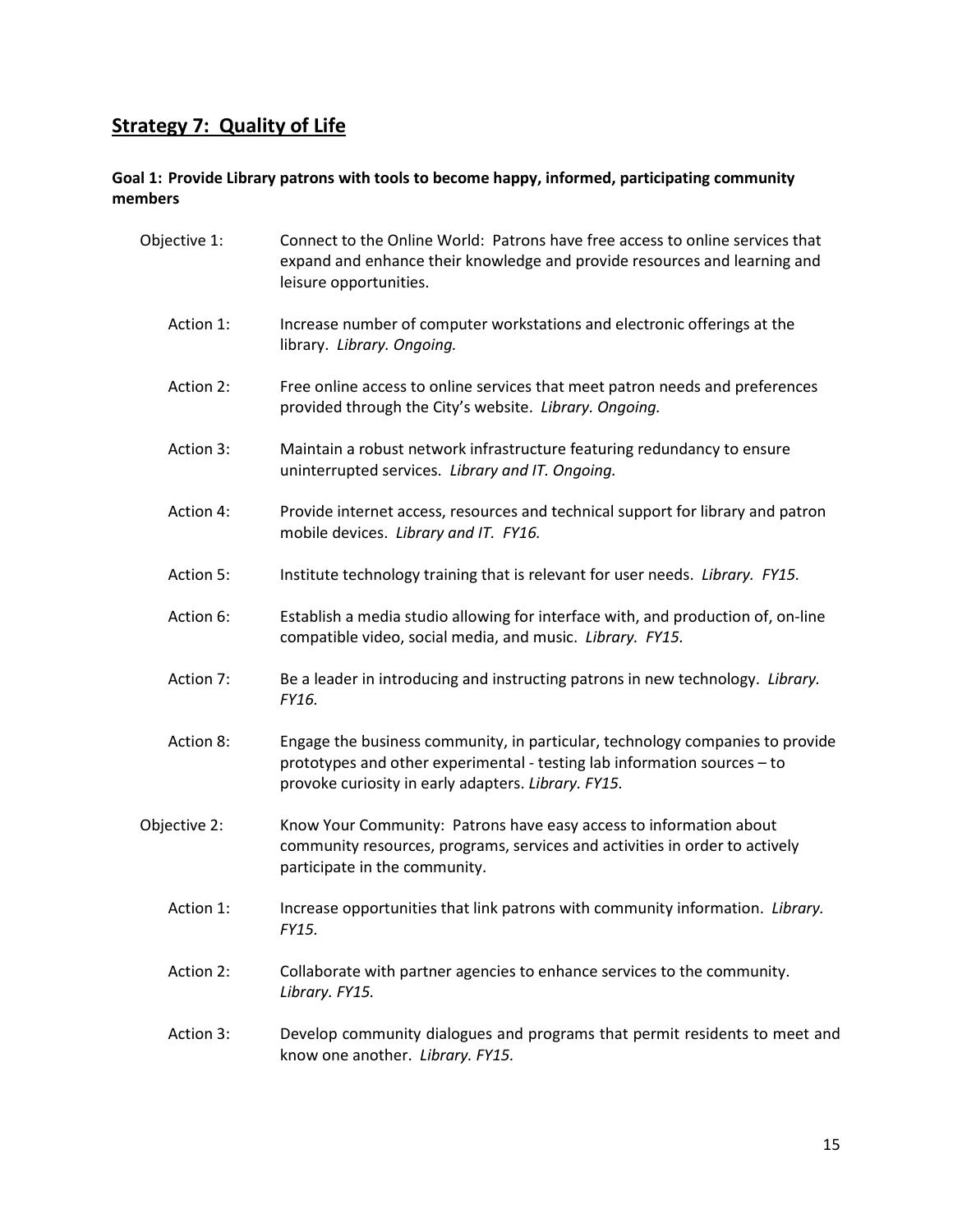## **Strategy 7: Quality of Life**

#### **Goal 1: Provide Library patrons with tools to become happy, informed, participating community members**

| Objective 1: | Connect to the Online World: Patrons have free access to online services that<br>expand and enhance their knowledge and provide resources and learning and<br>leisure opportunities.                             |
|--------------|------------------------------------------------------------------------------------------------------------------------------------------------------------------------------------------------------------------|
| Action 1:    | Increase number of computer workstations and electronic offerings at the<br>library. Library. Ongoing.                                                                                                           |
| Action 2:    | Free online access to online services that meet patron needs and preferences<br>provided through the City's website. Library. Ongoing.                                                                           |
| Action 3:    | Maintain a robust network infrastructure featuring redundancy to ensure<br>uninterrupted services. Library and IT. Ongoing.                                                                                      |
| Action 4:    | Provide internet access, resources and technical support for library and patron<br>mobile devices. Library and IT. FY16.                                                                                         |
| Action 5:    | Institute technology training that is relevant for user needs. Library. FY15.                                                                                                                                    |
| Action 6:    | Establish a media studio allowing for interface with, and production of, on-line<br>compatible video, social media, and music. Library. FY15.                                                                    |
| Action 7:    | Be a leader in introducing and instructing patrons in new technology. Library.<br>FY16.                                                                                                                          |
| Action 8:    | Engage the business community, in particular, technology companies to provide<br>prototypes and other experimental - testing lab information sources - to<br>provoke curiosity in early adapters. Library. FY15. |
| Objective 2: | Know Your Community: Patrons have easy access to information about<br>community resources, programs, services and activities in order to actively<br>participate in the community.                               |
| Action 1:    | Increase opportunities that link patrons with community information. Library.<br>FY15.                                                                                                                           |
| Action 2:    | Collaborate with partner agencies to enhance services to the community.<br>Library. FY15.                                                                                                                        |
| Action 3:    | Develop community dialogues and programs that permit residents to meet and<br>know one another. Library. FY15.                                                                                                   |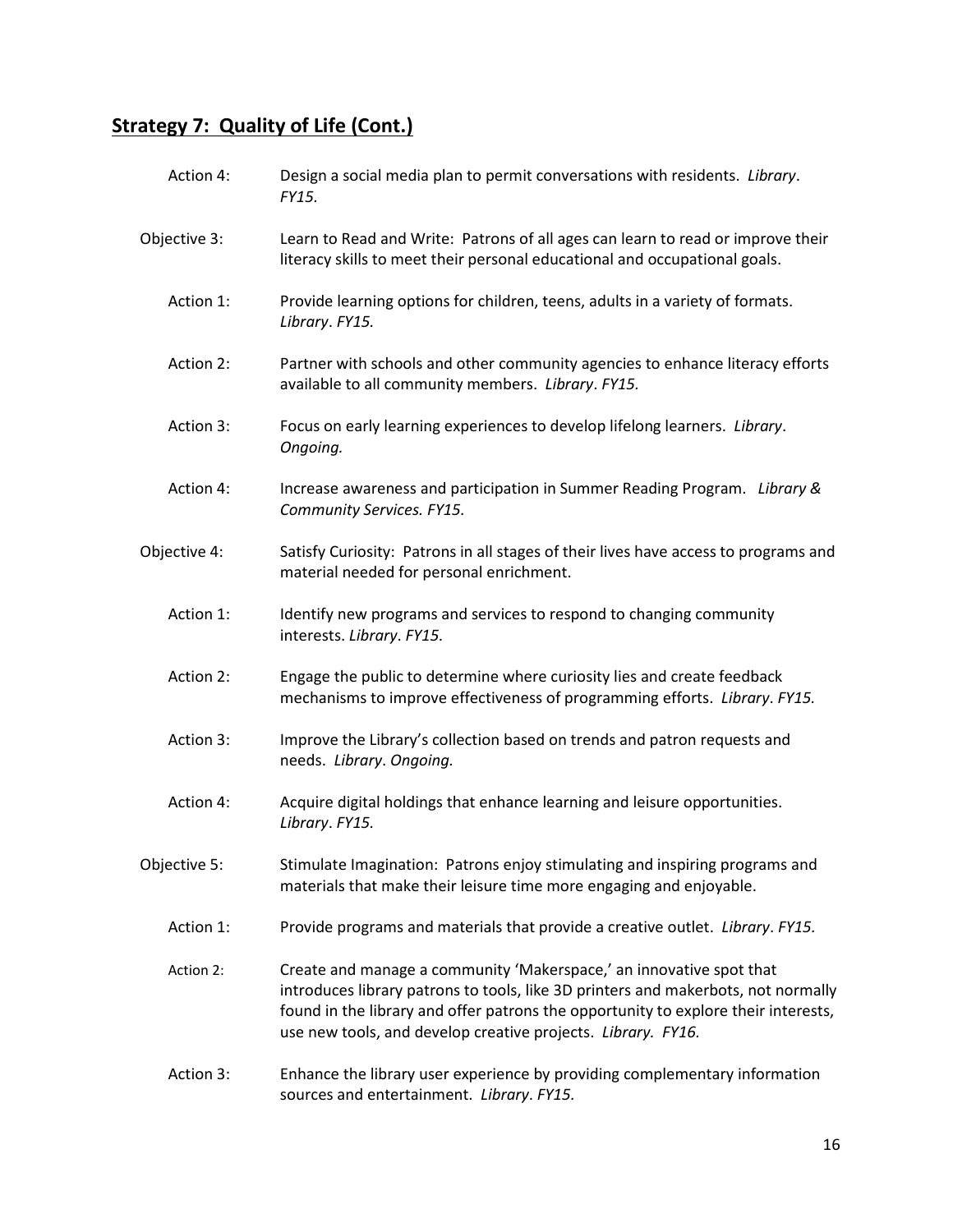| Action 4:    | Design a social media plan to permit conversations with residents. Library.<br>FY15.                                                                                                                                                                                                                           |
|--------------|----------------------------------------------------------------------------------------------------------------------------------------------------------------------------------------------------------------------------------------------------------------------------------------------------------------|
| Objective 3: | Learn to Read and Write: Patrons of all ages can learn to read or improve their<br>literacy skills to meet their personal educational and occupational goals.                                                                                                                                                  |
| Action 1:    | Provide learning options for children, teens, adults in a variety of formats.<br>Library. FY15.                                                                                                                                                                                                                |
| Action 2:    | Partner with schools and other community agencies to enhance literacy efforts<br>available to all community members. Library. FY15.                                                                                                                                                                            |
| Action 3:    | Focus on early learning experiences to develop lifelong learners. Library.<br>Ongoing.                                                                                                                                                                                                                         |
| Action 4:    | Increase awareness and participation in Summer Reading Program. Library &<br>Community Services. FY15.                                                                                                                                                                                                         |
| Objective 4: | Satisfy Curiosity: Patrons in all stages of their lives have access to programs and<br>material needed for personal enrichment.                                                                                                                                                                                |
| Action 1:    | Identify new programs and services to respond to changing community<br>interests. Library. FY15.                                                                                                                                                                                                               |
| Action 2:    | Engage the public to determine where curiosity lies and create feedback<br>mechanisms to improve effectiveness of programming efforts. Library. FY15.                                                                                                                                                          |
| Action 3:    | Improve the Library's collection based on trends and patron requests and<br>needs. Library. Ongoing.                                                                                                                                                                                                           |
| Action 4:    | Acquire digital holdings that enhance learning and leisure opportunities.<br>Library. FY15.                                                                                                                                                                                                                    |
| Objective 5: | Stimulate Imagination: Patrons enjoy stimulating and inspiring programs and<br>materials that make their leisure time more engaging and enjoyable.                                                                                                                                                             |
| Action 1:    | Provide programs and materials that provide a creative outlet. Library. FY15.                                                                                                                                                                                                                                  |
| Action 2:    | Create and manage a community 'Makerspace,' an innovative spot that<br>introduces library patrons to tools, like 3D printers and makerbots, not normally<br>found in the library and offer patrons the opportunity to explore their interests,<br>use new tools, and develop creative projects. Library. FY16. |
| Action 3:    | Enhance the library user experience by providing complementary information<br>sources and entertainment. Library. FY15.                                                                                                                                                                                        |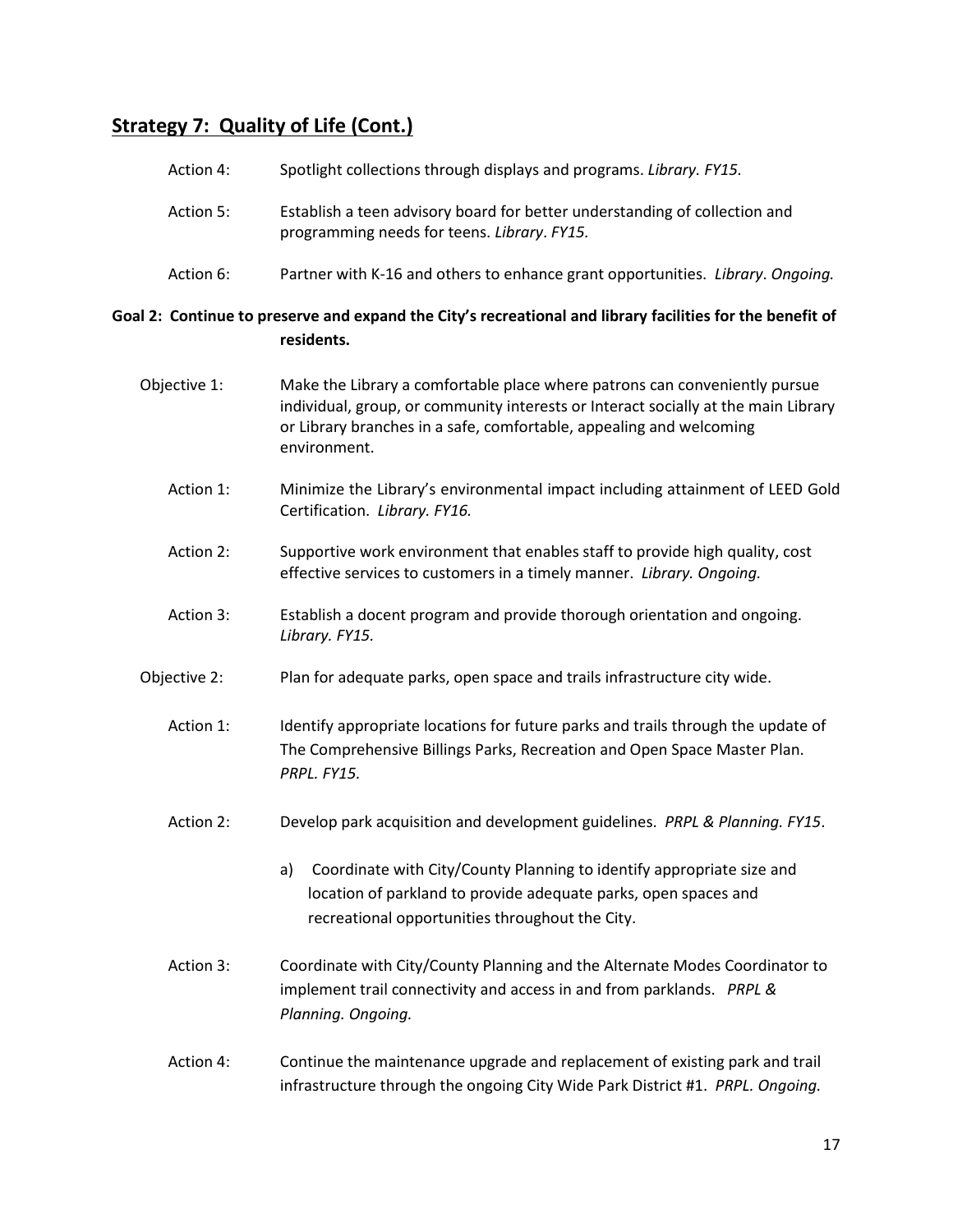| Action 4:    | Spotlight collections through displays and programs. Library. FY15.                                                                                                                                                                                     |
|--------------|---------------------------------------------------------------------------------------------------------------------------------------------------------------------------------------------------------------------------------------------------------|
| Action 5:    | Establish a teen advisory board for better understanding of collection and<br>programming needs for teens. Library. FY15.                                                                                                                               |
| Action 6:    | Partner with K-16 and others to enhance grant opportunities. Library. Ongoing.                                                                                                                                                                          |
|              | Goal 2: Continue to preserve and expand the City's recreational and library facilities for the benefit of<br>residents.                                                                                                                                 |
| Objective 1: | Make the Library a comfortable place where patrons can conveniently pursue<br>individual, group, or community interests or Interact socially at the main Library<br>or Library branches in a safe, comfortable, appealing and welcoming<br>environment. |
| Action 1:    | Minimize the Library's environmental impact including attainment of LEED Gold<br>Certification. Library. FY16.                                                                                                                                          |
| Action 2:    | Supportive work environment that enables staff to provide high quality, cost<br>effective services to customers in a timely manner. Library. Ongoing.                                                                                                   |
| Action 3:    | Establish a docent program and provide thorough orientation and ongoing.<br>Library. FY15.                                                                                                                                                              |
| Objective 2: | Plan for adequate parks, open space and trails infrastructure city wide.                                                                                                                                                                                |
| Action 1:    | Identify appropriate locations for future parks and trails through the update of<br>The Comprehensive Billings Parks, Recreation and Open Space Master Plan.<br>PRPL. FY15.                                                                             |
| Action 2:    | Develop park acquisition and development guidelines. PRPL & Planning. FY15.                                                                                                                                                                             |
|              | Coordinate with City/County Planning to identify appropriate size and<br>a)<br>location of parkland to provide adequate parks, open spaces and<br>recreational opportunities throughout the City.                                                       |
| Action 3:    | Coordinate with City/County Planning and the Alternate Modes Coordinator to<br>implement trail connectivity and access in and from parklands. PRPL &<br>Planning. Ongoing.                                                                              |
| Action 4:    | Continue the maintenance upgrade and replacement of existing park and trail<br>infrastructure through the ongoing City Wide Park District #1. PRPL. Ongoing.                                                                                            |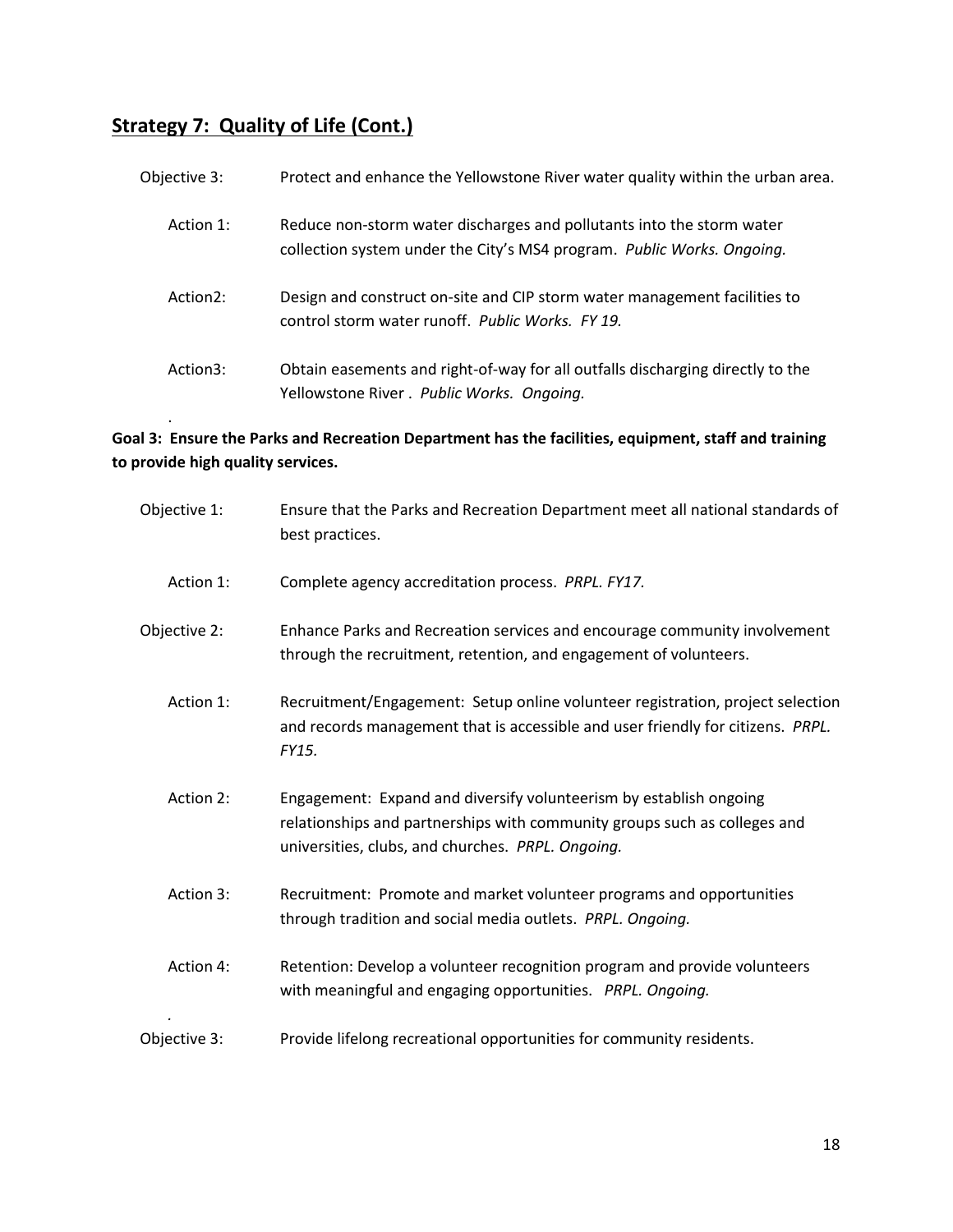| Objective 3: | Protect and enhance the Yellowstone River water quality within the urban area.                                                                  |
|--------------|-------------------------------------------------------------------------------------------------------------------------------------------------|
| Action 1:    | Reduce non-storm water discharges and pollutants into the storm water<br>collection system under the City's MS4 program. Public Works. Ongoing. |
| Action2:     | Design and construct on-site and CIP storm water management facilities to<br>control storm water runoff. Public Works. FY 19.                   |
| Action3:     | Obtain easements and right-of-way for all outfalls discharging directly to the<br>Yellowstone River. Public Works. Ongoing.                     |
|              |                                                                                                                                                 |

### **Goal 3: Ensure the Parks and Recreation Department has the facilities, equipment, staff and training to provide high quality services.**

| Objective 1: | Ensure that the Parks and Recreation Department meet all national standards of<br>best practices.                                                                                                    |
|--------------|------------------------------------------------------------------------------------------------------------------------------------------------------------------------------------------------------|
| Action 1:    | Complete agency accreditation process. PRPL. FY17.                                                                                                                                                   |
| Objective 2: | Enhance Parks and Recreation services and encourage community involvement<br>through the recruitment, retention, and engagement of volunteers.                                                       |
| Action 1:    | Recruitment/Engagement: Setup online volunteer registration, project selection<br>and records management that is accessible and user friendly for citizens. PRPL.<br>FY15.                           |
| Action 2:    | Engagement: Expand and diversify volunteerism by establish ongoing<br>relationships and partnerships with community groups such as colleges and<br>universities, clubs, and churches. PRPL. Ongoing. |
| Action 3:    | Recruitment: Promote and market volunteer programs and opportunities<br>through tradition and social media outlets. PRPL. Ongoing.                                                                   |
| Action 4:    | Retention: Develop a volunteer recognition program and provide volunteers<br>with meaningful and engaging opportunities. PRPL. Ongoing.                                                              |
| Objective 3: | Provide lifelong recreational opportunities for community residents.                                                                                                                                 |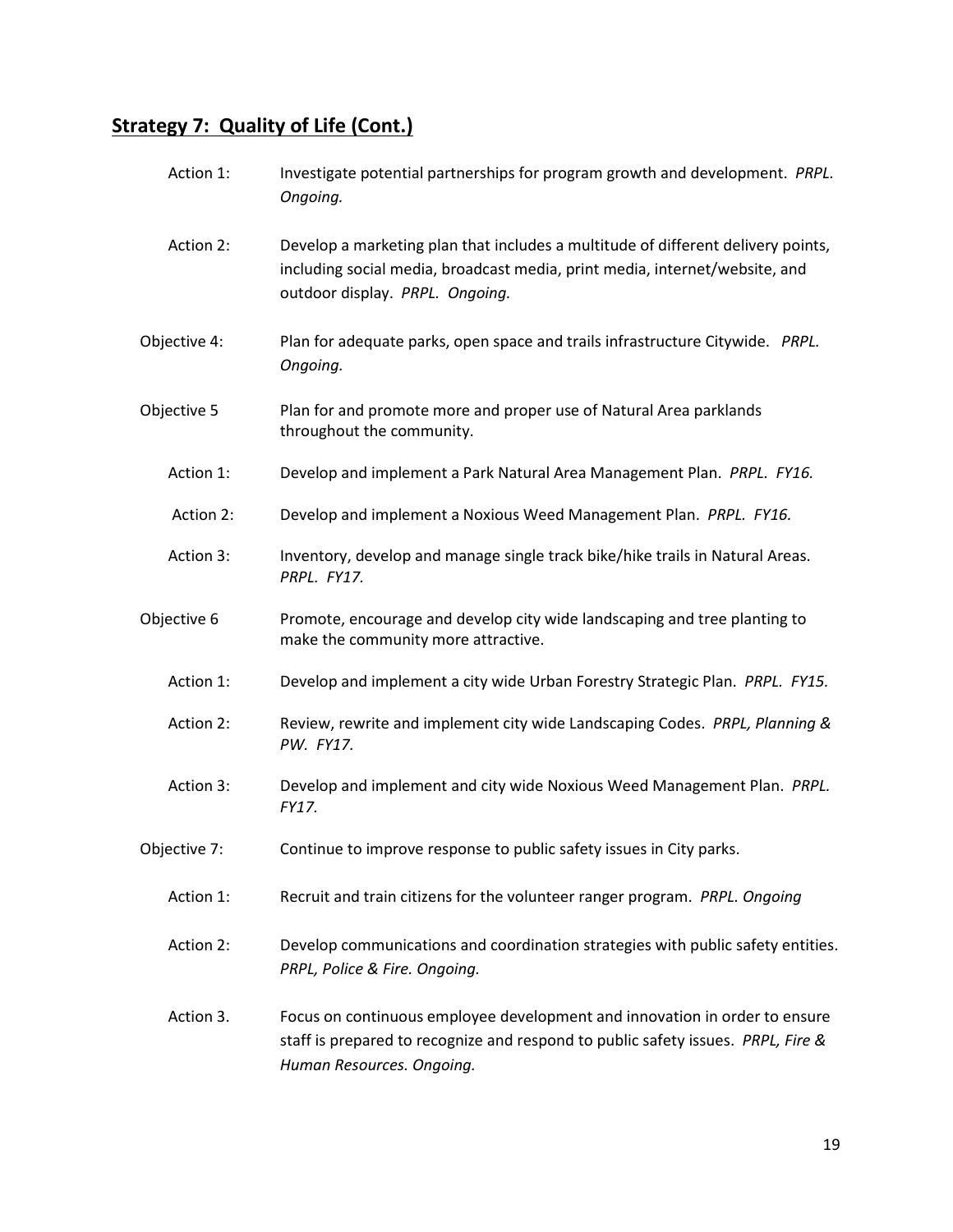| Action 1:    | Investigate potential partnerships for program growth and development. PRPL.<br>Ongoing.                                                                                                           |
|--------------|----------------------------------------------------------------------------------------------------------------------------------------------------------------------------------------------------|
| Action 2:    | Develop a marketing plan that includes a multitude of different delivery points,<br>including social media, broadcast media, print media, internet/website, and<br>outdoor display. PRPL. Ongoing. |
| Objective 4: | Plan for adequate parks, open space and trails infrastructure Citywide. PRPL.<br>Ongoing.                                                                                                          |
| Objective 5  | Plan for and promote more and proper use of Natural Area parklands<br>throughout the community.                                                                                                    |
| Action 1:    | Develop and implement a Park Natural Area Management Plan. PRPL. FY16.                                                                                                                             |
| Action 2:    | Develop and implement a Noxious Weed Management Plan. PRPL. FY16.                                                                                                                                  |
| Action 3:    | Inventory, develop and manage single track bike/hike trails in Natural Areas.<br>PRPL. FY17.                                                                                                       |
| Objective 6  | Promote, encourage and develop city wide landscaping and tree planting to<br>make the community more attractive.                                                                                   |
| Action 1:    | Develop and implement a city wide Urban Forestry Strategic Plan. PRPL. FY15.                                                                                                                       |
| Action 2:    | Review, rewrite and implement city wide Landscaping Codes. PRPL, Planning &<br>PW. FY17.                                                                                                           |
| Action 3:    | Develop and implement and city wide Noxious Weed Management Plan. PRPL.<br>FY17.                                                                                                                   |
| Objective 7: | Continue to improve response to public safety issues in City parks.                                                                                                                                |
| Action 1:    | Recruit and train citizens for the volunteer ranger program. PRPL. Ongoing                                                                                                                         |
| Action 2:    | Develop communications and coordination strategies with public safety entities.<br>PRPL, Police & Fire. Ongoing.                                                                                   |
| Action 3.    | Focus on continuous employee development and innovation in order to ensure<br>staff is prepared to recognize and respond to public safety issues. PRPL, Fire &<br>Human Resources. Ongoing.        |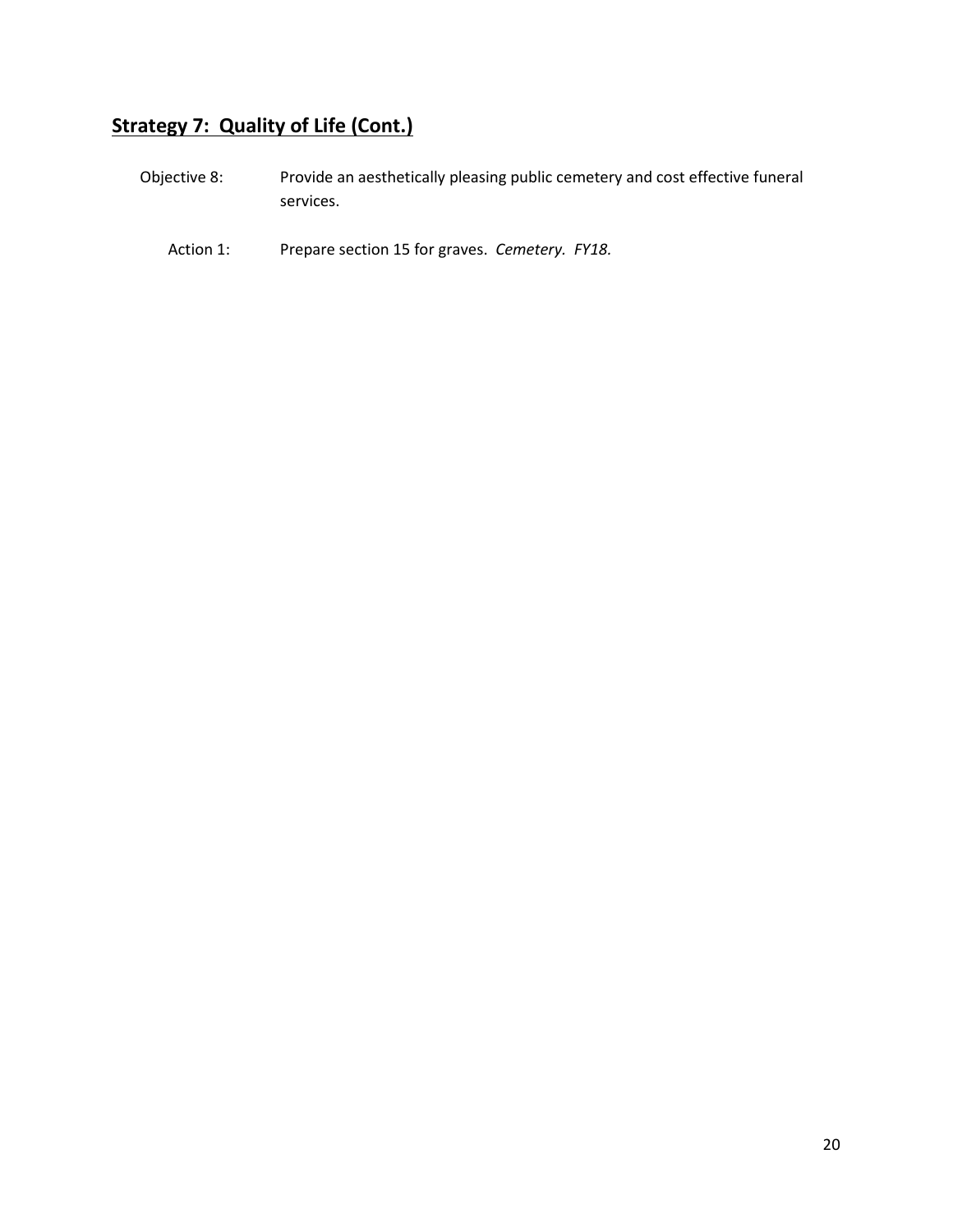| Objective 8: | Provide an aesthetically pleasing public cemetery and cost effective funeral |
|--------------|------------------------------------------------------------------------------|
|              | services.                                                                    |

Action 1: Prepare section 15 for graves. *Cemetery. FY18.*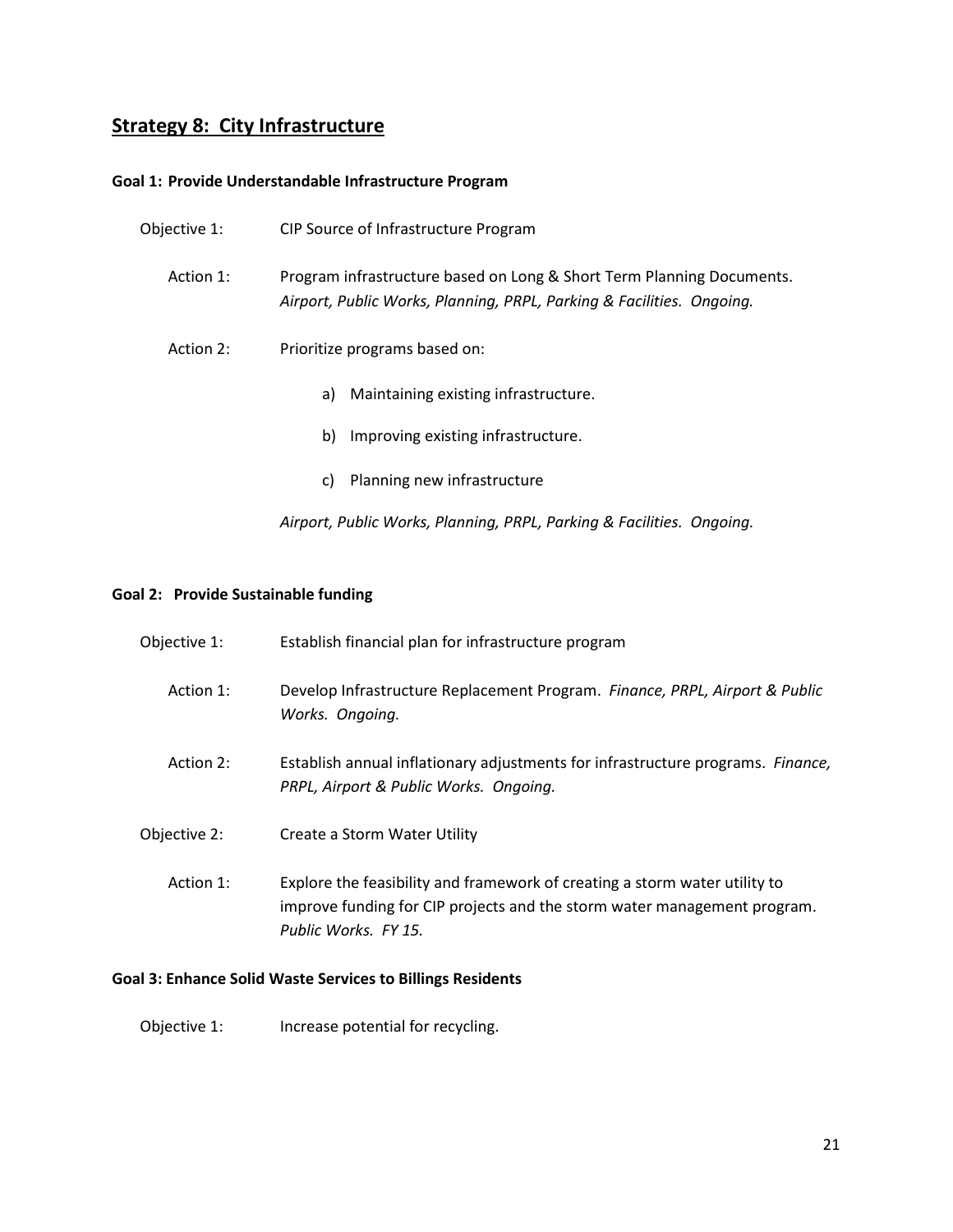# **Strategy 8: City Infrastructure**

#### **Goal 1: Provide Understandable Infrastructure Program**

| Objective 1: | CIP Source of Infrastructure Program                                                                                                           |
|--------------|------------------------------------------------------------------------------------------------------------------------------------------------|
| Action 1:    | Program infrastructure based on Long & Short Term Planning Documents.<br>Airport, Public Works, Planning, PRPL, Parking & Facilities. Ongoing. |
| Action 2:    | Prioritize programs based on:                                                                                                                  |
|              | Maintaining existing infrastructure.<br>a)                                                                                                     |
|              | b)<br>Improving existing infrastructure.                                                                                                       |
|              | Planning new infrastructure<br>C)                                                                                                              |
|              | Airport, Public Works, Planning, PRPL, Parking & Facilities. Ongoing.                                                                          |
|              |                                                                                                                                                |

### **Goal 2: Provide Sustainable funding**

| Objective 1: | Establish financial plan for infrastructure program                                                                                                                            |
|--------------|--------------------------------------------------------------------------------------------------------------------------------------------------------------------------------|
| Action 1:    | Develop Infrastructure Replacement Program. Finance, PRPL, Airport & Public<br>Works. Ongoing.                                                                                 |
| Action 2:    | Establish annual inflationary adjustments for infrastructure programs. Finance,<br>PRPL, Airport & Public Works. Ongoing.                                                      |
| Objective 2: | Create a Storm Water Utility                                                                                                                                                   |
| Action 1:    | Explore the feasibility and framework of creating a storm water utility to<br>improve funding for CIP projects and the storm water management program.<br>Public Works, FY 15. |

### **Goal 3: Enhance Solid Waste Services to Billings Residents**

Objective 1: Increase potential for recycling.